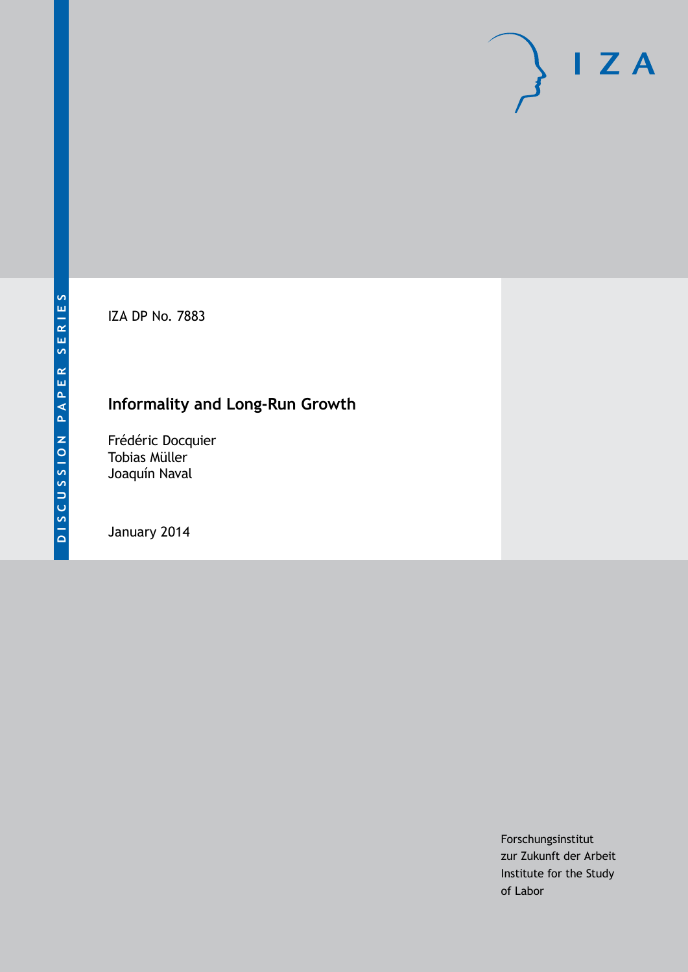IZA DP No. 7883

# **Informality and Long-Run Growth**

Frédéric Docquier Tobias Müller Joaquín Naval

January 2014

Forschungsinstitut zur Zukunft der Arbeit Institute for the Study of Labor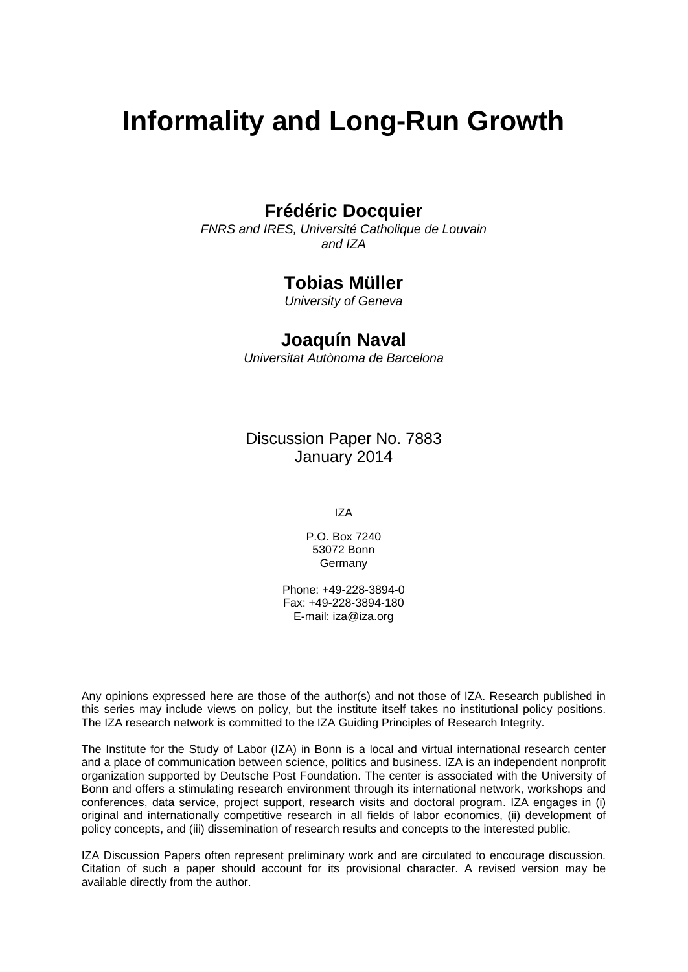# **Informality and Long-Run Growth**

### **Frédéric Docquier**

*FNRS and IRES, Université Catholique de Louvain and IZA*

### **Tobias Müller**

*University of Geneva*

### **Joaquín Naval**

*Universitat Autònoma de Barcelona*

Discussion Paper No. 7883 January 2014

IZA

P.O. Box 7240 53072 Bonn Germany

Phone: +49-228-3894-0 Fax: +49-228-3894-180 E-mail: [iza@iza.org](mailto:iza@iza.org)

Any opinions expressed here are those of the author(s) and not those of IZA. Research published in this series may include views on policy, but the institute itself takes no institutional policy positions. The IZA research network is committed to the IZA Guiding Principles of Research Integrity.

The Institute for the Study of Labor (IZA) in Bonn is a local and virtual international research center and a place of communication between science, politics and business. IZA is an independent nonprofit organization supported by Deutsche Post Foundation. The center is associated with the University of Bonn and offers a stimulating research environment through its international network, workshops and conferences, data service, project support, research visits and doctoral program. IZA engages in (i) original and internationally competitive research in all fields of labor economics, (ii) development of policy concepts, and (iii) dissemination of research results and concepts to the interested public.

<span id="page-1-0"></span>IZA Discussion Papers often represent preliminary work and are circulated to encourage discussion. Citation of such a paper should account for its provisional character. A revised version may be available directly from the author.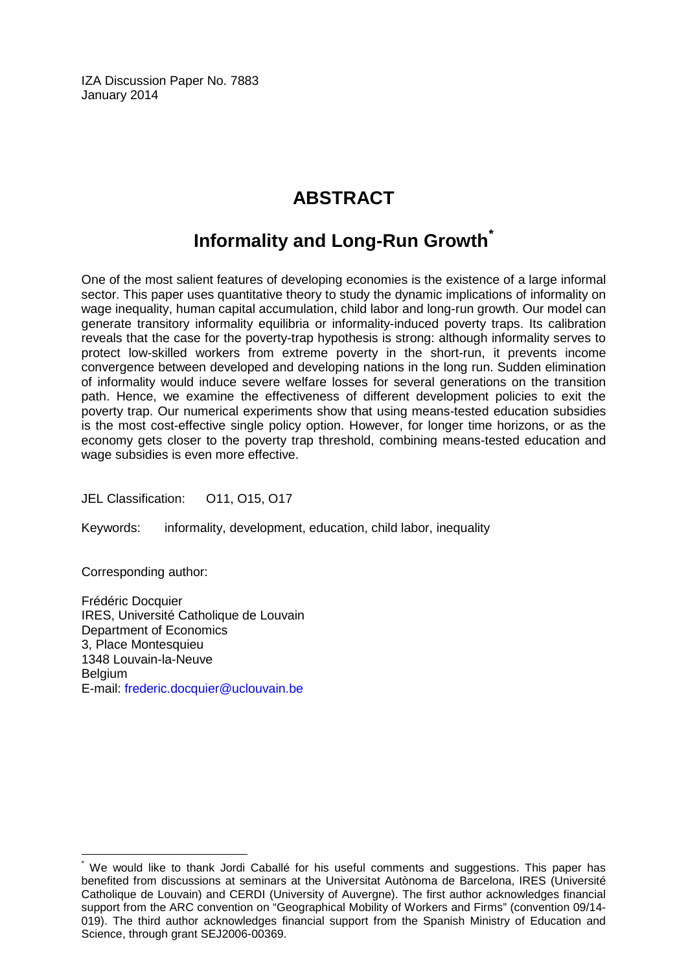IZA Discussion Paper No. 7883 January 2014

# **ABSTRACT**

## **Informality and Long-Run Growth[\\*](#page-1-0)**

One of the most salient features of developing economies is the existence of a large informal sector. This paper uses quantitative theory to study the dynamic implications of informality on wage inequality, human capital accumulation, child labor and long-run growth. Our model can generate transitory informality equilibria or informality-induced poverty traps. Its calibration reveals that the case for the poverty-trap hypothesis is strong: although informality serves to protect low-skilled workers from extreme poverty in the short-run, it prevents income convergence between developed and developing nations in the long run. Sudden elimination of informality would induce severe welfare losses for several generations on the transition path. Hence, we examine the effectiveness of different development policies to exit the poverty trap. Our numerical experiments show that using means-tested education subsidies is the most cost-effective single policy option. However, for longer time horizons, or as the economy gets closer to the poverty trap threshold, combining means-tested education and wage subsidies is even more effective.

JEL Classification: O11, O15, O17

Keywords: informality, development, education, child labor, inequality

Corresponding author:

Frédéric Docquier IRES, Université Catholique de Louvain Department of Economics 3, Place Montesquieu 1348 Louvain-la-Neuve **Belgium** E-mail: [frederic.docquier@uclouvain.be](mailto:frederic.docquier@uclouvain.be)

We would like to thank Jordi Caballé for his useful comments and suggestions. This paper has benefited from discussions at seminars at the Universitat Autònoma de Barcelona, IRES (Université Catholique de Louvain) and CERDI (University of Auvergne). The first author acknowledges financial support from the ARC convention on "Geographical Mobility of Workers and Firms" (convention 09/14- 019). The third author acknowledges financial support from the Spanish Ministry of Education and Science, through grant SEJ2006-00369.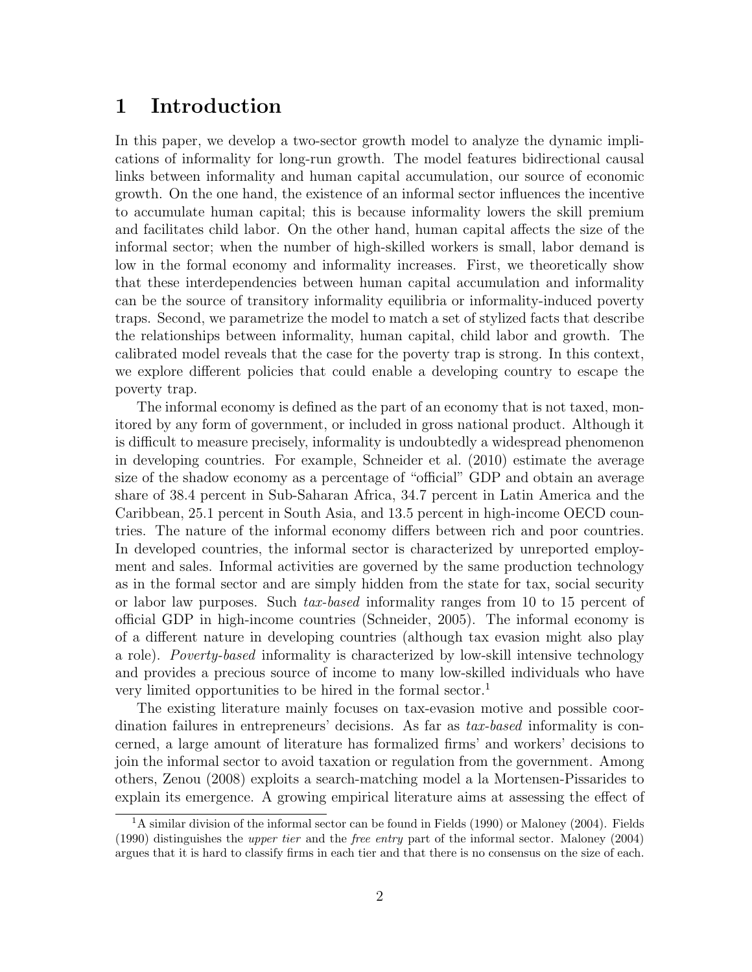### 1 Introduction

In this paper, we develop a two-sector growth model to analyze the dynamic implications of informality for long-run growth. The model features bidirectional causal links between informality and human capital accumulation, our source of economic growth. On the one hand, the existence of an informal sector influences the incentive to accumulate human capital; this is because informality lowers the skill premium and facilitates child labor. On the other hand, human capital affects the size of the informal sector; when the number of high-skilled workers is small, labor demand is low in the formal economy and informality increases. First, we theoretically show that these interdependencies between human capital accumulation and informality can be the source of transitory informality equilibria or informality-induced poverty traps. Second, we parametrize the model to match a set of stylized facts that describe the relationships between informality, human capital, child labor and growth. The calibrated model reveals that the case for the poverty trap is strong. In this context, we explore different policies that could enable a developing country to escape the poverty trap.

The informal economy is defined as the part of an economy that is not taxed, monitored by any form of government, or included in gross national product. Although it is difficult to measure precisely, informality is undoubtedly a widespread phenomenon in developing countries. For example, Schneider et al. (2010) estimate the average size of the shadow economy as a percentage of "official" GDP and obtain an average share of 38.4 percent in Sub-Saharan Africa, 34.7 percent in Latin America and the Caribbean, 25.1 percent in South Asia, and 13.5 percent in high-income OECD countries. The nature of the informal economy differs between rich and poor countries. In developed countries, the informal sector is characterized by unreported employment and sales. Informal activities are governed by the same production technology as in the formal sector and are simply hidden from the state for tax, social security or labor law purposes. Such tax-based informality ranges from 10 to 15 percent of official GDP in high-income countries (Schneider, 2005). The informal economy is of a different nature in developing countries (although tax evasion might also play a role). Poverty-based informality is characterized by low-skill intensive technology and provides a precious source of income to many low-skilled individuals who have very limited opportunities to be hired in the formal sector.<sup>1</sup>

The existing literature mainly focuses on tax-evasion motive and possible coordination failures in entrepreneurs' decisions. As far as tax-based informality is concerned, a large amount of literature has formalized firms' and workers' decisions to join the informal sector to avoid taxation or regulation from the government. Among others, Zenou (2008) exploits a search-matching model a la Mortensen-Pissarides to explain its emergence. A growing empirical literature aims at assessing the effect of

 $1A$  similar division of the informal sector can be found in Fields (1990) or Maloney (2004). Fields (1990) distinguishes the upper tier and the free entry part of the informal sector. Maloney (2004) argues that it is hard to classify firms in each tier and that there is no consensus on the size of each.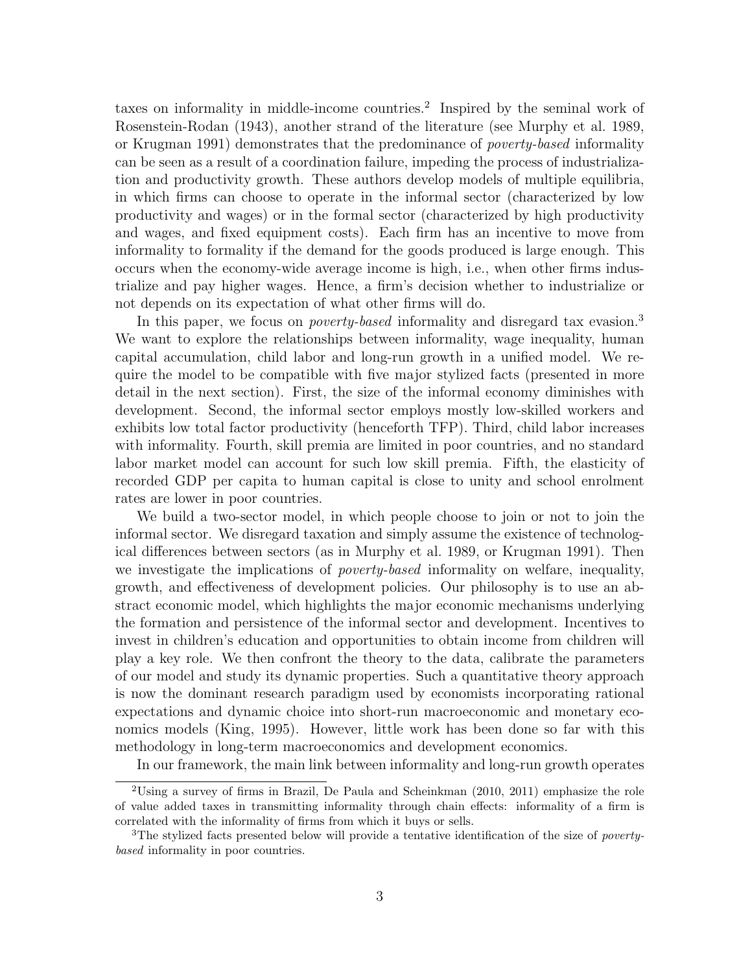taxes on informality in middle-income countries.<sup>2</sup> Inspired by the seminal work of Rosenstein-Rodan (1943), another strand of the literature (see Murphy et al. 1989, or Krugman 1991) demonstrates that the predominance of poverty-based informality can be seen as a result of a coordination failure, impeding the process of industrialization and productivity growth. These authors develop models of multiple equilibria, in which firms can choose to operate in the informal sector (characterized by low productivity and wages) or in the formal sector (characterized by high productivity and wages, and fixed equipment costs). Each firm has an incentive to move from informality to formality if the demand for the goods produced is large enough. This occurs when the economy-wide average income is high, i.e., when other firms industrialize and pay higher wages. Hence, a firm's decision whether to industrialize or not depends on its expectation of what other firms will do.

In this paper, we focus on *poverty-based* informality and disregard tax evasion.<sup>3</sup> We want to explore the relationships between informality, wage inequality, human capital accumulation, child labor and long-run growth in a unified model. We require the model to be compatible with five major stylized facts (presented in more detail in the next section). First, the size of the informal economy diminishes with development. Second, the informal sector employs mostly low-skilled workers and exhibits low total factor productivity (henceforth TFP). Third, child labor increases with informality. Fourth, skill premia are limited in poor countries, and no standard labor market model can account for such low skill premia. Fifth, the elasticity of recorded GDP per capita to human capital is close to unity and school enrolment rates are lower in poor countries.

We build a two-sector model, in which people choose to join or not to join the informal sector. We disregard taxation and simply assume the existence of technological differences between sectors (as in Murphy et al. 1989, or Krugman 1991). Then we investigate the implications of *poverty-based* informality on welfare, inequality, growth, and effectiveness of development policies. Our philosophy is to use an abstract economic model, which highlights the major economic mechanisms underlying the formation and persistence of the informal sector and development. Incentives to invest in children's education and opportunities to obtain income from children will play a key role. We then confront the theory to the data, calibrate the parameters of our model and study its dynamic properties. Such a quantitative theory approach is now the dominant research paradigm used by economists incorporating rational expectations and dynamic choice into short-run macroeconomic and monetary economics models (King, 1995). However, little work has been done so far with this methodology in long-term macroeconomics and development economics.

In our framework, the main link between informality and long-run growth operates

<sup>&</sup>lt;sup>2</sup>Using a survey of firms in Brazil, De Paula and Scheinkman (2010, 2011) emphasize the role of value added taxes in transmitting informality through chain effects: informality of a firm is correlated with the informality of firms from which it buys or sells.

<sup>&</sup>lt;sup>3</sup>The stylized facts presented below will provide a tentative identification of the size of *poverty*based informality in poor countries.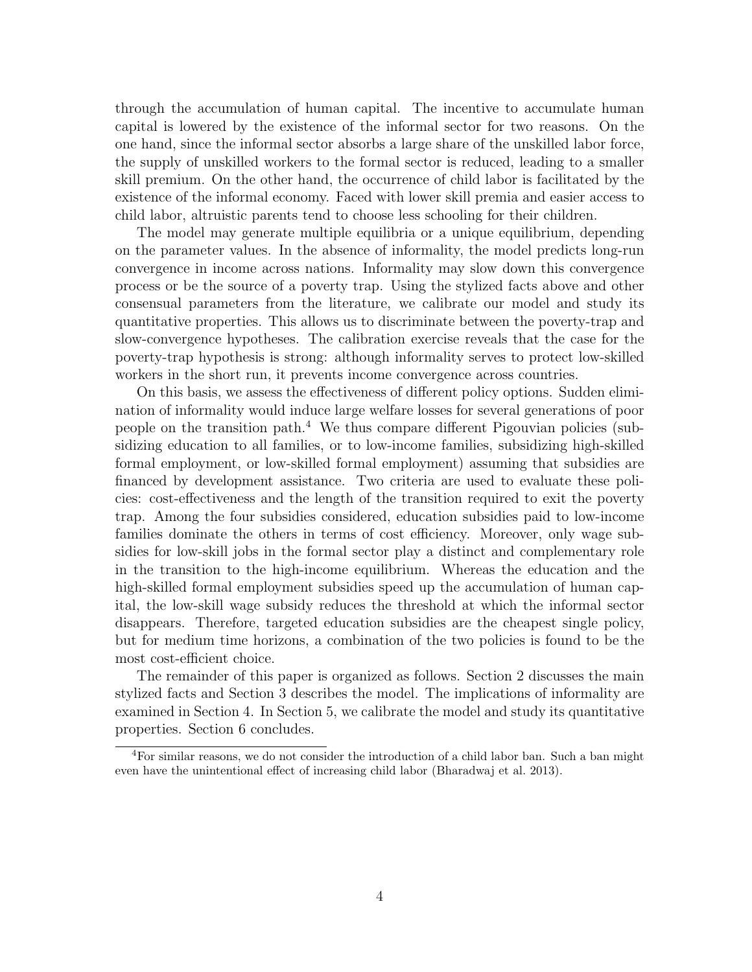through the accumulation of human capital. The incentive to accumulate human capital is lowered by the existence of the informal sector for two reasons. On the one hand, since the informal sector absorbs a large share of the unskilled labor force, the supply of unskilled workers to the formal sector is reduced, leading to a smaller skill premium. On the other hand, the occurrence of child labor is facilitated by the existence of the informal economy. Faced with lower skill premia and easier access to child labor, altruistic parents tend to choose less schooling for their children.

The model may generate multiple equilibria or a unique equilibrium, depending on the parameter values. In the absence of informality, the model predicts long-run convergence in income across nations. Informality may slow down this convergence process or be the source of a poverty trap. Using the stylized facts above and other consensual parameters from the literature, we calibrate our model and study its quantitative properties. This allows us to discriminate between the poverty-trap and slow-convergence hypotheses. The calibration exercise reveals that the case for the poverty-trap hypothesis is strong: although informality serves to protect low-skilled workers in the short run, it prevents income convergence across countries.

On this basis, we assess the effectiveness of different policy options. Sudden elimination of informality would induce large welfare losses for several generations of poor people on the transition path.<sup>4</sup> We thus compare different Pigouvian policies (subsidizing education to all families, or to low-income families, subsidizing high-skilled formal employment, or low-skilled formal employment) assuming that subsidies are financed by development assistance. Two criteria are used to evaluate these policies: cost-effectiveness and the length of the transition required to exit the poverty trap. Among the four subsidies considered, education subsidies paid to low-income families dominate the others in terms of cost efficiency. Moreover, only wage subsidies for low-skill jobs in the formal sector play a distinct and complementary role in the transition to the high-income equilibrium. Whereas the education and the high-skilled formal employment subsidies speed up the accumulation of human capital, the low-skill wage subsidy reduces the threshold at which the informal sector disappears. Therefore, targeted education subsidies are the cheapest single policy, but for medium time horizons, a combination of the two policies is found to be the most cost-efficient choice.

The remainder of this paper is organized as follows. Section 2 discusses the main stylized facts and Section 3 describes the model. The implications of informality are examined in Section 4. In Section 5, we calibrate the model and study its quantitative properties. Section 6 concludes.

<sup>4</sup>For similar reasons, we do not consider the introduction of a child labor ban. Such a ban might even have the unintentional effect of increasing child labor (Bharadwaj et al. 2013).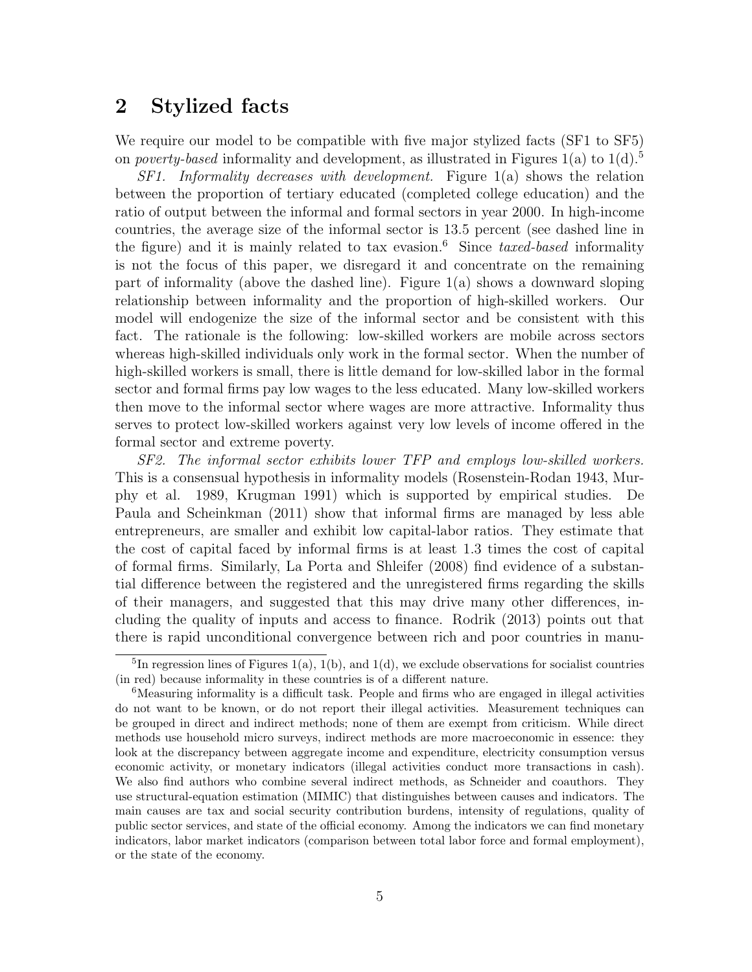### 2 Stylized facts

We require our model to be compatible with five major stylized facts (SF1 to SF5) on *poverty-based* informality and development, as illustrated in Figures 1(a) to  $1(d)$ .<sup>5</sup>

SF1. Informality decreases with development. Figure 1(a) shows the relation between the proportion of tertiary educated (completed college education) and the ratio of output between the informal and formal sectors in year 2000. In high-income countries, the average size of the informal sector is 13.5 percent (see dashed line in the figure) and it is mainly related to tax evasion.<sup>6</sup> Since taxed-based informality is not the focus of this paper, we disregard it and concentrate on the remaining part of informality (above the dashed line). Figure 1(a) shows a downward sloping relationship between informality and the proportion of high-skilled workers. Our model will endogenize the size of the informal sector and be consistent with this fact. The rationale is the following: low-skilled workers are mobile across sectors whereas high-skilled individuals only work in the formal sector. When the number of high-skilled workers is small, there is little demand for low-skilled labor in the formal sector and formal firms pay low wages to the less educated. Many low-skilled workers then move to the informal sector where wages are more attractive. Informality thus serves to protect low-skilled workers against very low levels of income offered in the formal sector and extreme poverty.

SF2. The informal sector exhibits lower TFP and employs low-skilled workers. This is a consensual hypothesis in informality models (Rosenstein-Rodan 1943, Murphy et al. 1989, Krugman 1991) which is supported by empirical studies. De Paula and Scheinkman (2011) show that informal firms are managed by less able entrepreneurs, are smaller and exhibit low capital-labor ratios. They estimate that the cost of capital faced by informal firms is at least 1.3 times the cost of capital of formal firms. Similarly, La Porta and Shleifer (2008) find evidence of a substantial difference between the registered and the unregistered firms regarding the skills of their managers, and suggested that this may drive many other differences, including the quality of inputs and access to finance. Rodrik (2013) points out that there is rapid unconditional convergence between rich and poor countries in manu-

<sup>&</sup>lt;sup>5</sup>In regression lines of Figures 1(a), 1(b), and 1(d), we exclude observations for socialist countries (in red) because informality in these countries is of a different nature.

<sup>&</sup>lt;sup>6</sup>Measuring informality is a difficult task. People and firms who are engaged in illegal activities do not want to be known, or do not report their illegal activities. Measurement techniques can be grouped in direct and indirect methods; none of them are exempt from criticism. While direct methods use household micro surveys, indirect methods are more macroeconomic in essence: they look at the discrepancy between aggregate income and expenditure, electricity consumption versus economic activity, or monetary indicators (illegal activities conduct more transactions in cash). We also find authors who combine several indirect methods, as Schneider and coauthors. They use structural-equation estimation (MIMIC) that distinguishes between causes and indicators. The main causes are tax and social security contribution burdens, intensity of regulations, quality of public sector services, and state of the official economy. Among the indicators we can find monetary indicators, labor market indicators (comparison between total labor force and formal employment), or the state of the economy.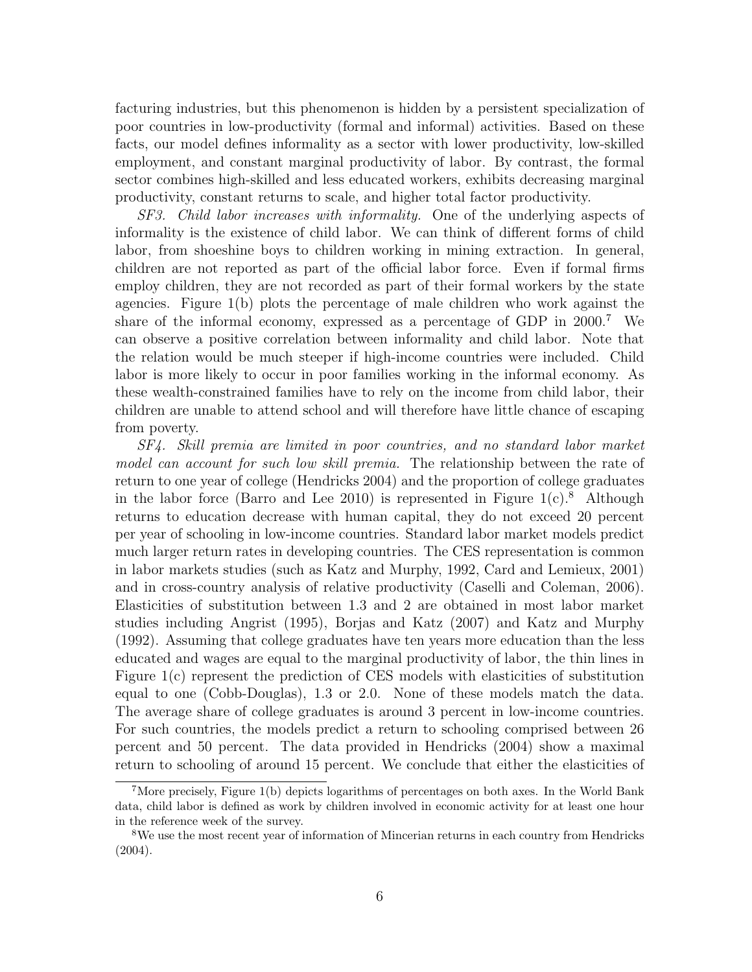facturing industries, but this phenomenon is hidden by a persistent specialization of poor countries in low-productivity (formal and informal) activities. Based on these facts, our model defines informality as a sector with lower productivity, low-skilled employment, and constant marginal productivity of labor. By contrast, the formal sector combines high-skilled and less educated workers, exhibits decreasing marginal productivity, constant returns to scale, and higher total factor productivity.

SF3. Child labor increases with informality. One of the underlying aspects of informality is the existence of child labor. We can think of different forms of child labor, from shoeshine boys to children working in mining extraction. In general, children are not reported as part of the official labor force. Even if formal firms employ children, they are not recorded as part of their formal workers by the state agencies. Figure 1(b) plots the percentage of male children who work against the share of the informal economy, expressed as a percentage of GDP in  $2000$ .<sup>7</sup> We can observe a positive correlation between informality and child labor. Note that the relation would be much steeper if high-income countries were included. Child labor is more likely to occur in poor families working in the informal economy. As these wealth-constrained families have to rely on the income from child labor, their children are unable to attend school and will therefore have little chance of escaping from poverty.

SF4. Skill premia are limited in poor countries, and no standard labor market model can account for such low skill premia. The relationship between the rate of return to one year of college (Hendricks 2004) and the proportion of college graduates in the labor force (Barro and Lee 2010) is represented in Figure  $1(c)$ .<sup>8</sup> Although returns to education decrease with human capital, they do not exceed 20 percent per year of schooling in low-income countries. Standard labor market models predict much larger return rates in developing countries. The CES representation is common in labor markets studies (such as Katz and Murphy, 1992, Card and Lemieux, 2001) and in cross-country analysis of relative productivity (Caselli and Coleman, 2006). Elasticities of substitution between 1.3 and 2 are obtained in most labor market studies including Angrist (1995), Borjas and Katz (2007) and Katz and Murphy (1992). Assuming that college graduates have ten years more education than the less educated and wages are equal to the marginal productivity of labor, the thin lines in Figure 1(c) represent the prediction of CES models with elasticities of substitution equal to one (Cobb-Douglas), 1.3 or 2.0. None of these models match the data. The average share of college graduates is around 3 percent in low-income countries. For such countries, the models predict a return to schooling comprised between 26 percent and 50 percent. The data provided in Hendricks (2004) show a maximal return to schooling of around 15 percent. We conclude that either the elasticities of

<sup>&</sup>lt;sup>7</sup>More precisely, Figure 1(b) depicts logarithms of percentages on both axes. In the World Bank data, child labor is defined as work by children involved in economic activity for at least one hour in the reference week of the survey.

<sup>&</sup>lt;sup>8</sup>We use the most recent year of information of Mincerian returns in each country from Hendricks (2004).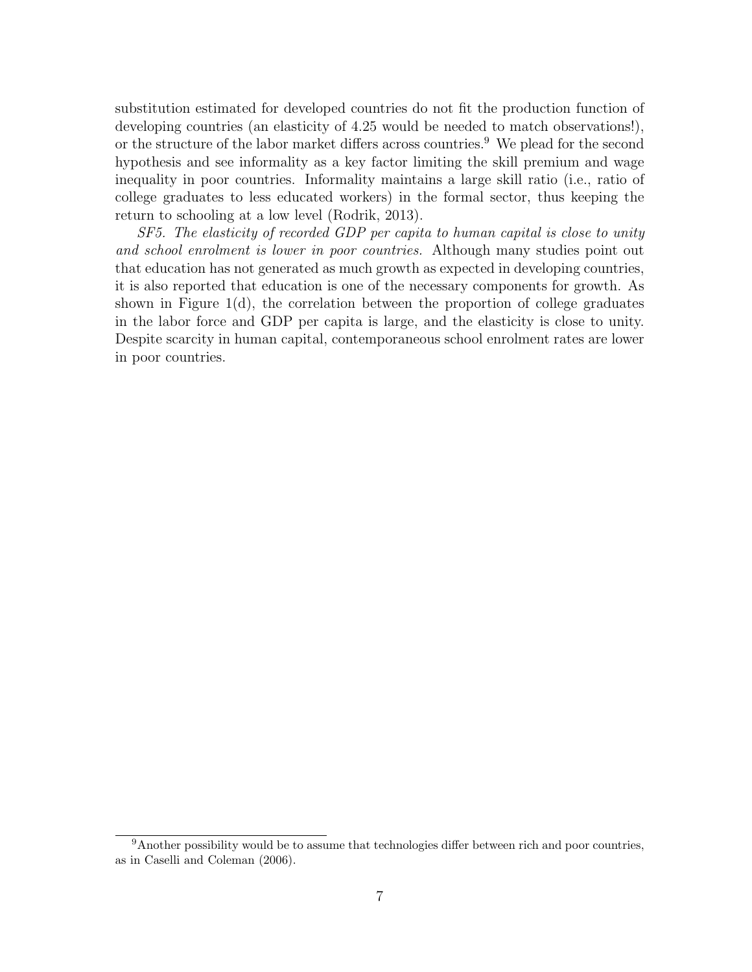substitution estimated for developed countries do not fit the production function of developing countries (an elasticity of 4.25 would be needed to match observations!), or the structure of the labor market differs across countries.<sup>9</sup> We plead for the second hypothesis and see informality as a key factor limiting the skill premium and wage inequality in poor countries. Informality maintains a large skill ratio (i.e., ratio of college graduates to less educated workers) in the formal sector, thus keeping the return to schooling at a low level (Rodrik, 2013).

SF5. The elasticity of recorded GDP per capita to human capital is close to unity and school enrolment is lower in poor countries. Although many studies point out that education has not generated as much growth as expected in developing countries, it is also reported that education is one of the necessary components for growth. As shown in Figure 1(d), the correlation between the proportion of college graduates in the labor force and GDP per capita is large, and the elasticity is close to unity. Despite scarcity in human capital, contemporaneous school enrolment rates are lower in poor countries.

<sup>&</sup>lt;sup>9</sup>Another possibility would be to assume that technologies differ between rich and poor countries, as in Caselli and Coleman (2006).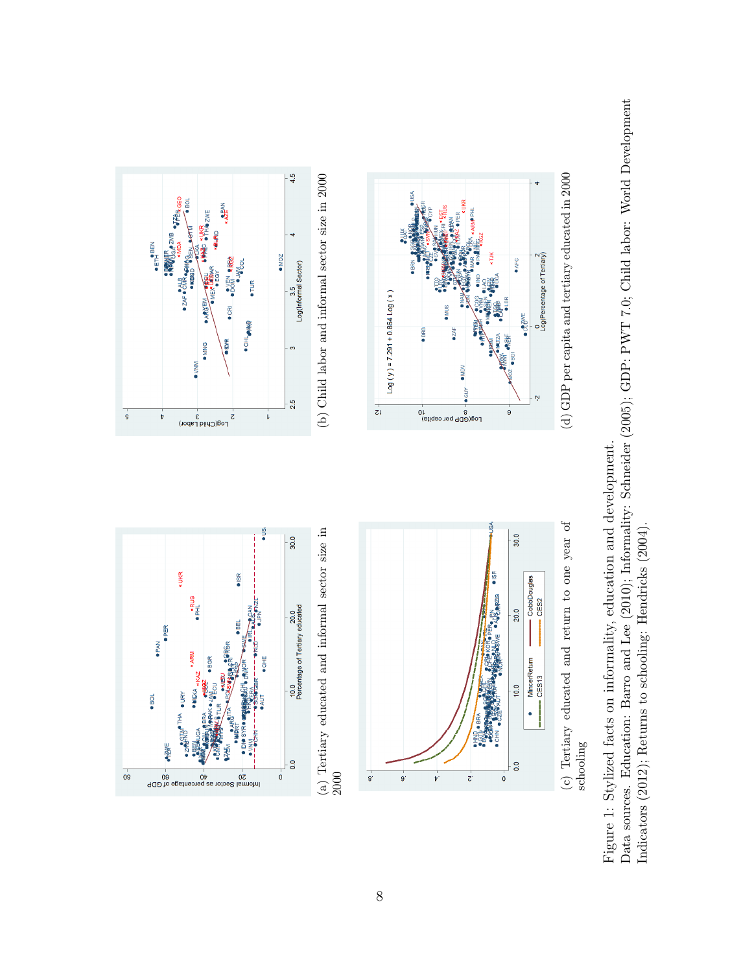

2000



(c) Tertiary educated and return to one year of (c) Tertiary educated and return to one year of schooling



(b) Child labor and informal sector size in  $2000$ (b) Child labor and informal sector size in 2000



(d) GDP per capita and tertiary educated in 2000 (d) GDP per capita and tertiary educated in 2000

Figure 1: Stylized facts on informality, education and development. Figure 1: Stylized facts on informality, education and development.

Data sources. Education: Barro and Lee (2010); Informality: Schneider (2005); GDP: PWT 7.0; Child labor: World Development Data sources. Education: Barro and Lee (2010); Informality: Schneider (2005); GDP: PWT 7.0; Child labor: World Development Indicators (2012); Returns to schooling: Hendricks (2004). Indicators (2012); Returns to schooling: Hendricks (2004).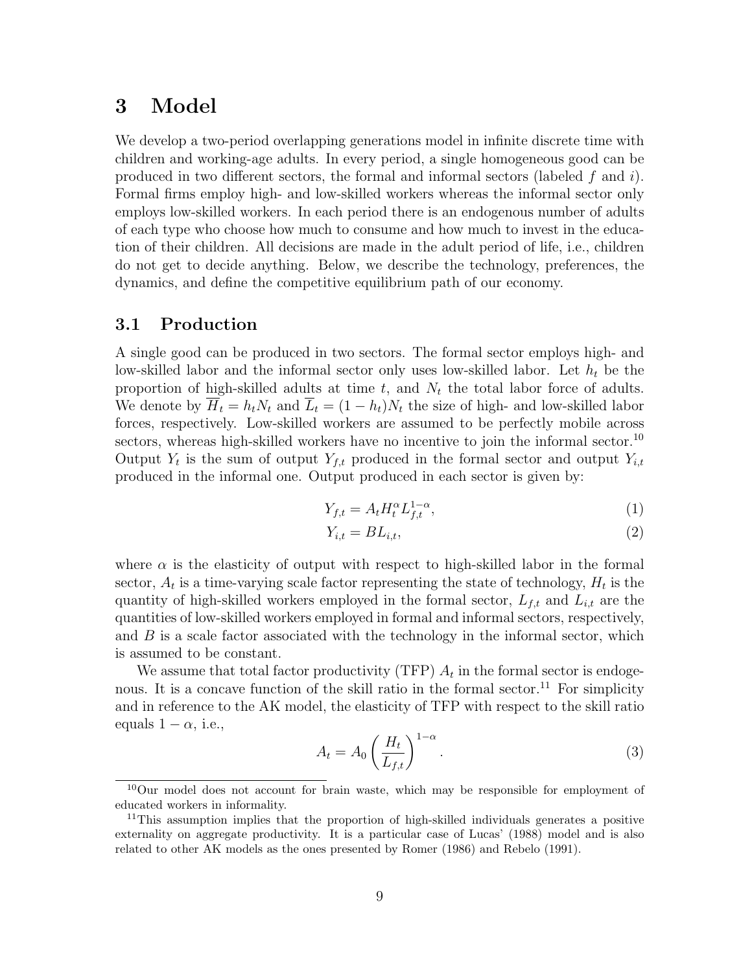### 3 Model

We develop a two-period overlapping generations model in infinite discrete time with children and working-age adults. In every period, a single homogeneous good can be produced in two different sectors, the formal and informal sectors (labeled f and  $i$ ). Formal firms employ high- and low-skilled workers whereas the informal sector only employs low-skilled workers. In each period there is an endogenous number of adults of each type who choose how much to consume and how much to invest in the education of their children. All decisions are made in the adult period of life, i.e., children do not get to decide anything. Below, we describe the technology, preferences, the dynamics, and define the competitive equilibrium path of our economy.

#### 3.1 Production

A single good can be produced in two sectors. The formal sector employs high- and low-skilled labor and the informal sector only uses low-skilled labor. Let  $h_t$  be the proportion of high-skilled adults at time  $t$ , and  $N_t$  the total labor force of adults. We denote by  $\overline{H}_t = h_t N_t$  and  $\overline{L}_t = (1 - h_t) N_t$  the size of high- and low-skilled labor forces, respectively. Low-skilled workers are assumed to be perfectly mobile across sectors, whereas high-skilled workers have no incentive to join the informal sector.<sup>10</sup> Output  $Y_t$  is the sum of output  $Y_{f,t}$  produced in the formal sector and output  $Y_{i,t}$ produced in the informal one. Output produced in each sector is given by:

$$
Y_{f,t} = A_t H_t^{\alpha} L_{f,t}^{1-\alpha},\tag{1}
$$

$$
Y_{i,t} = BL_{i,t},\tag{2}
$$

where  $\alpha$  is the elasticity of output with respect to high-skilled labor in the formal sector,  $A_t$  is a time-varying scale factor representing the state of technology,  $H_t$  is the quantity of high-skilled workers employed in the formal sector,  $L_{f,t}$  and  $L_{i,t}$  are the quantities of low-skilled workers employed in formal and informal sectors, respectively, and  $B$  is a scale factor associated with the technology in the informal sector, which is assumed to be constant.

We assume that total factor productivity (TFP)  $A_t$  in the formal sector is endogenous. It is a concave function of the skill ratio in the formal sector.<sup>11</sup> For simplicity and in reference to the AK model, the elasticity of TFP with respect to the skill ratio equals  $1 - \alpha$ , i.e.,

$$
A_t = A_0 \left(\frac{H_t}{L_{f,t}}\right)^{1-\alpha}.
$$
\n(3)

 $10$ Our model does not account for brain waste, which may be responsible for employment of educated workers in informality.

<sup>&</sup>lt;sup>11</sup>This assumption implies that the proportion of high-skilled individuals generates a positive externality on aggregate productivity. It is a particular case of Lucas' (1988) model and is also related to other AK models as the ones presented by Romer (1986) and Rebelo (1991).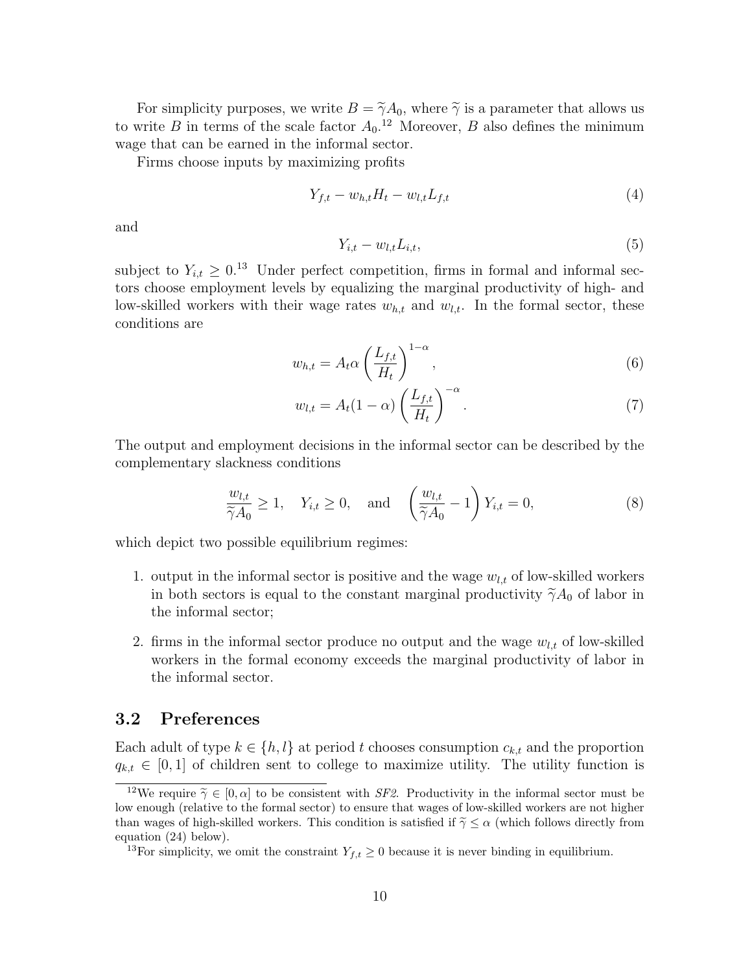For simplicity purposes, we write  $B = \tilde{\gamma} A_0$ , where  $\tilde{\gamma}$  is a parameter that allows us to write B in terms of the scale factor  $A_0$ <sup>12</sup> Moreover, B also defines the minimum wage that can be earned in the informal sector.

Firms choose inputs by maximizing profits

$$
Y_{f,t} - w_{h,t}H_t - w_{l,t}L_{f,t} \tag{4}
$$

and

$$
Y_{i,t} - w_{l,t} L_{i,t},\tag{5}
$$

subject to  $Y_{i,t} \geq 0.13$  Under perfect competition, firms in formal and informal sectors choose employment levels by equalizing the marginal productivity of high- and low-skilled workers with their wage rates  $w_{h,t}$  and  $w_{l,t}$ . In the formal sector, these conditions are

$$
w_{h,t} = A_t \alpha \left(\frac{L_{f,t}}{H_t}\right)^{1-\alpha},\tag{6}
$$

$$
w_{l,t} = A_t (1 - \alpha) \left(\frac{L_{f,t}}{H_t}\right)^{-\alpha}.
$$
\n(7)

The output and employment decisions in the informal sector can be described by the complementary slackness conditions

$$
\frac{w_{l,t}}{\widetilde{\gamma}A_0} \ge 1, \quad Y_{i,t} \ge 0, \quad \text{and} \quad \left(\frac{w_{l,t}}{\widetilde{\gamma}A_0} - 1\right)Y_{i,t} = 0,\tag{8}
$$

which depict two possible equilibrium regimes:

- 1. output in the informal sector is positive and the wage  $w_{l,t}$  of low-skilled workers in both sectors is equal to the constant marginal productivity  $\widetilde{\gamma}A_0$  of labor in the informal sector;
- 2. firms in the informal sector produce no output and the wage  $w_{l,t}$  of low-skilled workers in the formal economy exceeds the marginal productivity of labor in the informal sector.

#### 3.2 Preferences

Each adult of type  $k \in \{h, l\}$  at period t chooses consumption  $c_{k,t}$  and the proportion  $q_{k,t} \in [0,1]$  of children sent to college to maximize utility. The utility function is

<sup>&</sup>lt;sup>12</sup>We require  $\tilde{\gamma} \in [0, \alpha]$  to be consistent with *SF2*. Productivity in the informal sector must be low enough (relative to the formal sector) to ensure that wages of low-skilled workers are not higher than wages of high-skilled workers. This condition is satisfied if  $\tilde{\gamma} \leq \alpha$  (which follows directly from equation (24) below).

<sup>&</sup>lt;sup>13</sup>For simplicity, we omit the constraint  $Y_{f,t} \geq 0$  because it is never binding in equilibrium.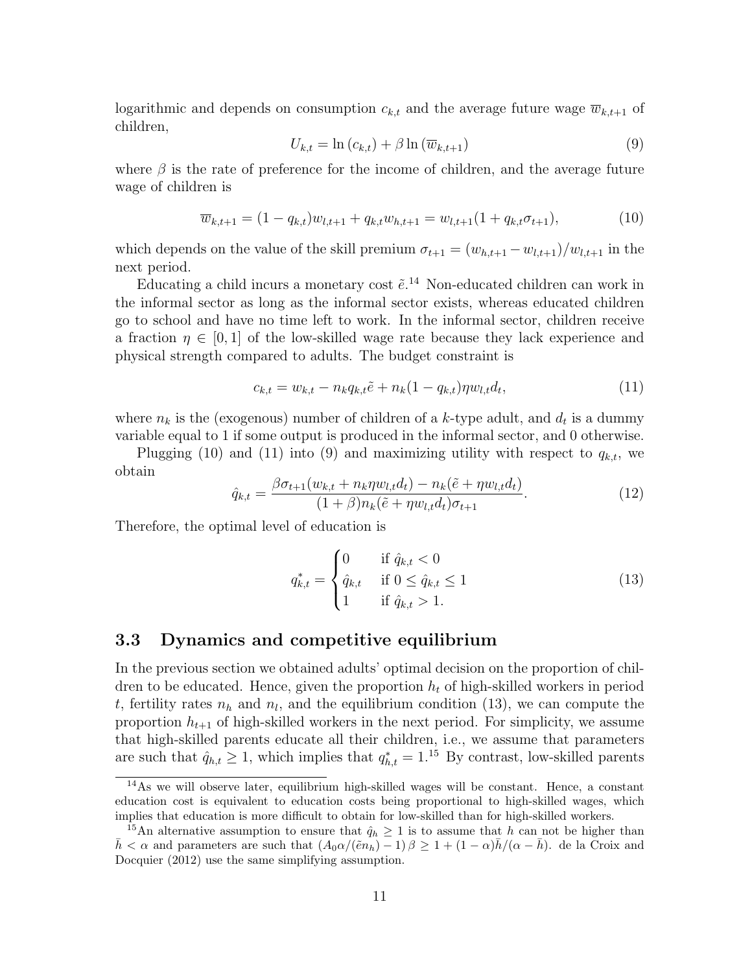logarithmic and depends on consumption  $c_{k,t}$  and the average future wage  $\overline{w}_{k,t+1}$  of children,

$$
U_{k,t} = \ln(c_{k,t}) + \beta \ln(\overline{w}_{k,t+1})
$$
\n(9)

where  $\beta$  is the rate of preference for the income of children, and the average future wage of children is

$$
\overline{w}_{k,t+1} = (1 - q_{k,t})w_{l,t+1} + q_{k,t}w_{h,t+1} = w_{l,t+1}(1 + q_{k,t}\sigma_{t+1}),
$$
\n(10)

which depends on the value of the skill premium  $\sigma_{t+1} = (w_{h,t+1} - w_{l,t+1})/w_{l,t+1}$  in the next period.

Educating a child incurs a monetary cost  $\tilde{e}$ <sup>14</sup> Non-educated children can work in the informal sector as long as the informal sector exists, whereas educated children go to school and have no time left to work. In the informal sector, children receive a fraction  $\eta \in [0,1]$  of the low-skilled wage rate because they lack experience and physical strength compared to adults. The budget constraint is

$$
c_{k,t} = w_{k,t} - n_k q_{k,t} \tilde{e} + n_k (1 - q_{k,t}) \eta w_{l,t} d_t,
$$
\n(11)

where  $n_k$  is the (exogenous) number of children of a k-type adult, and  $d_t$  is a dummy variable equal to 1 if some output is produced in the informal sector, and 0 otherwise.

Plugging (10) and (11) into (9) and maximizing utility with respect to  $q_{k,t}$ , we obtain

$$
\hat{q}_{k,t} = \frac{\beta \sigma_{t+1}(w_{k,t} + n_k \eta w_{l,t} d_t) - n_k(\tilde{e} + \eta w_{l,t} d_t)}{(1 + \beta) n_k(\tilde{e} + \eta w_{l,t} d_t) \sigma_{t+1}}.
$$
\n(12)

Therefore, the optimal level of education is

$$
q_{k,t}^{*} = \begin{cases} 0 & \text{if } \hat{q}_{k,t} < 0\\ \hat{q}_{k,t} & \text{if } 0 \le \hat{q}_{k,t} \le 1\\ 1 & \text{if } \hat{q}_{k,t} > 1. \end{cases}
$$
(13)

#### 3.3 Dynamics and competitive equilibrium

In the previous section we obtained adults' optimal decision on the proportion of children to be educated. Hence, given the proportion  $h_t$  of high-skilled workers in period t, fertility rates  $n_h$  and  $n_l$ , and the equilibrium condition (13), we can compute the proportion  $h_{t+1}$  of high-skilled workers in the next period. For simplicity, we assume that high-skilled parents educate all their children, i.e., we assume that parameters are such that  $\hat{q}_{h,t} \geq 1$ , which implies that  $q_{h,t}^* = 1$ .<sup>15</sup> By contrast, low-skilled parents

<sup>14</sup>As we will observe later, equilibrium high-skilled wages will be constant. Hence, a constant education cost is equivalent to education costs being proportional to high-skilled wages, which implies that education is more difficult to obtain for low-skilled than for high-skilled workers.

<sup>&</sup>lt;sup>15</sup>An alternative assumption to ensure that  $\hat{q}_h \ge 1$  is to assume that h can not be higher than  $h < \alpha$  and parameters are such that  $(A_0\alpha/(\tilde{e}n_h) - 1)\beta \geq 1 + (1 - \alpha)h/(\alpha - h)$ . de la Croix and Docquier (2012) use the same simplifying assumption.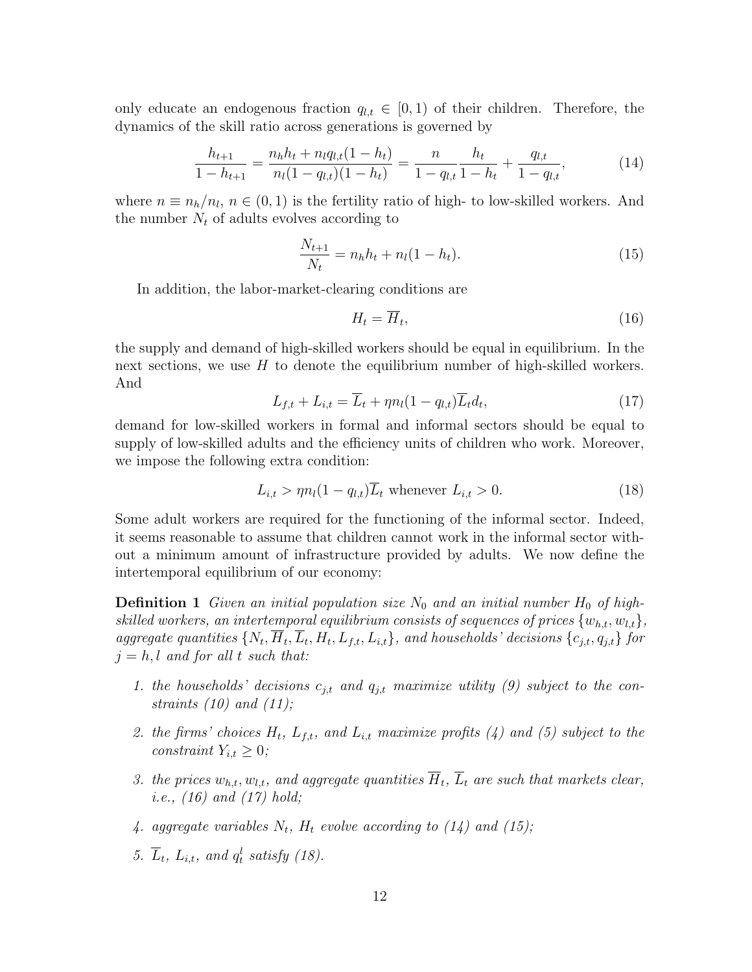only educate an endogenous fraction  $q_{l,t} \in [0,1)$  of their children. Therefore, the dynamics of the skill ratio across generations is governed by

$$
\frac{h_{t+1}}{1 - h_{t+1}} = \frac{n_h h_t + n_l q_{l,t} (1 - h_t)}{n_l (1 - q_{l,t}) (1 - h_t)} = \frac{n}{1 - q_{l,t}} \frac{h_t}{1 - h_t} + \frac{q_{l,t}}{1 - q_{l,t}},\tag{14}
$$

where  $n \equiv n_h/n_l$ ,  $n \in (0,1)$  is the fertility ratio of high- to low-skilled workers. And the number  $N_t$  of adults evolves according to

$$
\frac{N_{t+1}}{N_t} = n_h h_t + n_l (1 - h_t).
$$
\n(15)

In addition, the labor-market-clearing conditions are

$$
H_t = \overline{H}_t,\tag{16}
$$

the supply and demand of high-skilled workers should be equal in equilibrium. In the next sections, we use  $H$  to denote the equilibrium number of high-skilled workers. And

$$
L_{f,t} + L_{i,t} = \overline{L}_t + \eta n_l (1 - q_{l,t}) \overline{L}_t d_t,
$$
\n(17)

demand for low-skilled workers in formal and informal sectors should be equal to supply of low-skilled adults and the efficiency units of children who work. Moreover, we impose the following extra condition:

$$
L_{i,t} > \eta n_l (1 - q_{l,t}) \overline{L}_t \text{ whenever } L_{i,t} > 0.
$$
 (18)

Some adult workers are required for the functioning of the informal sector. Indeed, it seems reasonable to assume that children cannot work in the informal sector without a minimum amount of infrastructure provided by adults. We now define the intertemporal equilibrium of our economy:

**Definition 1** Given an initial population size  $N_0$  and an initial number  $H_0$  of highskilled workers, an intertemporal equilibrium consists of sequences of prices  $\{w_{h,t}, w_{l,t}\}$ , aggregate quantities  $\{N_t, H_t, L_t, H_t, L_{f,t}, L_{i,t}\}$ , and households' decisions  $\{c_{j,t}, q_{j,t}\}$  for  $j = h, l$  and for all t such that:

- 1. the households' decisions  $c_{j,t}$  and  $q_{j,t}$  maximize utility (9) subject to the constraints  $(10)$  and  $(11)$ ;
- 2. the firms' choices  $H_t$ ,  $L_{f,t}$ , and  $L_{i,t}$  maximize profits (4) and (5) subject to the constraint  $Y_{i,t} \geq 0$ ;
- 3. the prices  $w_{h,t}$ ,  $w_{l,t}$ , and aggregate quantities  $\overline{H}_t$ ,  $\overline{L}_t$  are such that markets clear, *i.e.*,  $(16)$  and  $(17)$  hold;
- 4. aggregate variables  $N_t$ ,  $H_t$  evolve according to (14) and (15);
- 5.  $\overline{L}_t$ ,  $L_{i,t}$ , and  $q_t^l$  satisfy (18).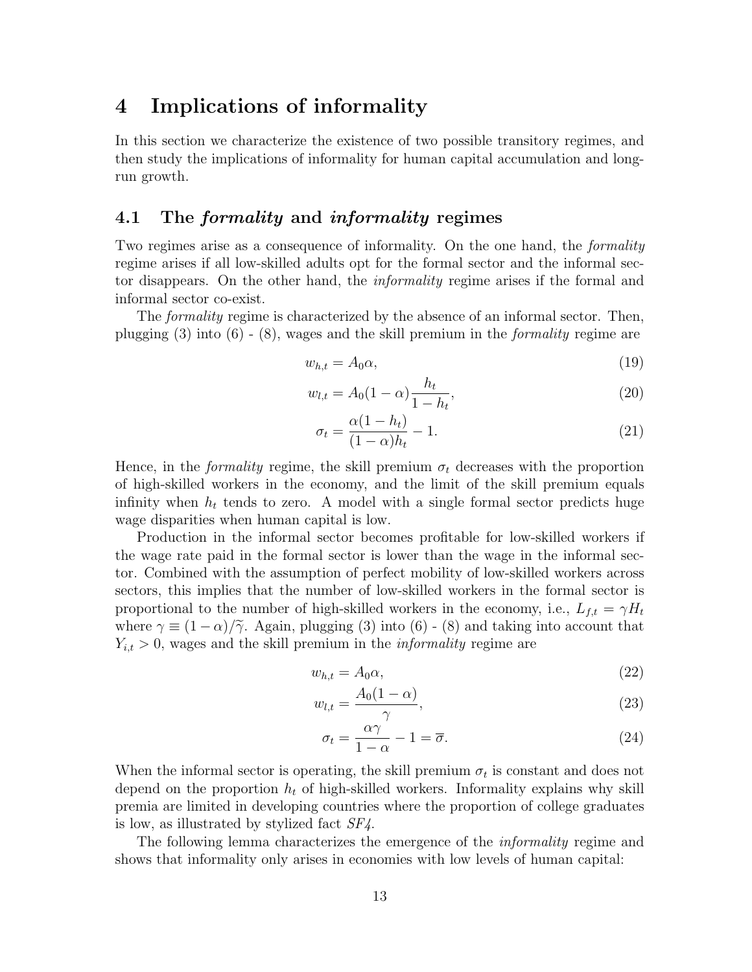### 4 Implications of informality

In this section we characterize the existence of two possible transitory regimes, and then study the implications of informality for human capital accumulation and longrun growth.

#### 4.1 The *formality* and *informality* regimes

Two regimes arise as a consequence of informality. On the one hand, the *formality* regime arises if all low-skilled adults opt for the formal sector and the informal sector disappears. On the other hand, the informality regime arises if the formal and informal sector co-exist.

The formality regime is characterized by the absence of an informal sector. Then, plugging  $(3)$  into  $(6)$  -  $(8)$ , wages and the skill premium in the *formality* regime are

$$
w_{h,t} = A_0 \alpha, \tag{19}
$$

$$
w_{l,t} = A_0 (1 - \alpha) \frac{h_t}{1 - h_t},
$$
\n(20)

$$
\sigma_t = \frac{\alpha (1 - h_t)}{(1 - \alpha) h_t} - 1.
$$
\n(21)

Hence, in the *formality* regime, the skill premium  $\sigma_t$  decreases with the proportion of high-skilled workers in the economy, and the limit of the skill premium equals infinity when  $h_t$  tends to zero. A model with a single formal sector predicts huge wage disparities when human capital is low.

Production in the informal sector becomes profitable for low-skilled workers if the wage rate paid in the formal sector is lower than the wage in the informal sector. Combined with the assumption of perfect mobility of low-skilled workers across sectors, this implies that the number of low-skilled workers in the formal sector is proportional to the number of high-skilled workers in the economy, i.e.,  $L_{f,t} = \gamma H_t$ where  $\gamma \equiv (1 - \alpha)/\tilde{\gamma}$ . Again, plugging (3) into (6) - (8) and taking into account that  $Y_{i,t} > 0$ , wages and the skill premium in the *informality* regime are

$$
w_{h,t} = A_0 \alpha, \tag{22}
$$

$$
w_{l,t} = \frac{A_0(1-\alpha)}{\gamma},\tag{23}
$$

$$
\sigma_t = \frac{\alpha \gamma}{1 - \alpha} - 1 = \overline{\sigma}.
$$
\n(24)

When the informal sector is operating, the skill premium  $\sigma_t$  is constant and does not depend on the proportion  $h_t$  of high-skilled workers. Informality explains why skill premia are limited in developing countries where the proportion of college graduates is low, as illustrated by stylized fact SF4.

The following lemma characterizes the emergence of the informality regime and shows that informality only arises in economies with low levels of human capital: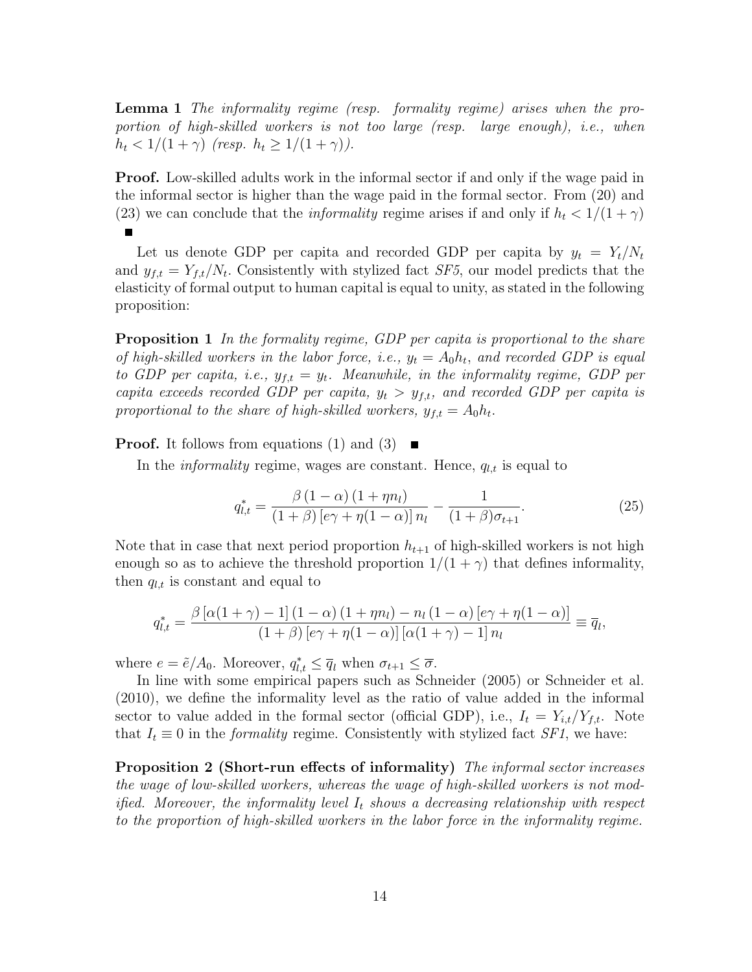Lemma 1 The informality regime (resp. formality regime) arises when the proportion of high-skilled workers is not too large (resp. large enough), i.e., when  $h_t < 1/(1+\gamma)$  (resp.  $h_t \geq 1/(1+\gamma)$ ).

**Proof.** Low-skilled adults work in the informal sector if and only if the wage paid in the informal sector is higher than the wage paid in the formal sector. From (20) and (23) we can conclude that the *informality* regime arises if and only if  $h_t < 1/(1+\gamma)$  $\blacksquare$ 

Let us denote GDP per capita and recorded GDP per capita by  $y_t = Y_t/N_t$ and  $y_{f,t} = Y_{f,t}/N_t$ . Consistently with stylized fact SF5, our model predicts that the elasticity of formal output to human capital is equal to unity, as stated in the following proposition:

**Proposition 1** In the formality regime, GDP per capita is proportional to the share of high-skilled workers in the labor force, i.e.,  $y_t = A_0 h_t$ , and recorded GDP is equal to GDP per capita, i.e.,  $y_{f,t} = y_t$ . Meanwhile, in the informality regime, GDP per capita exceeds recorded GDP per capita,  $y_t > y_{f,t}$ , and recorded GDP per capita is proportional to the share of high-skilled workers,  $y_{f,t} = A_0 h_t$ .

**Proof.** It follows from equations (1) and (3)  $\blacksquare$ 

In the *informality* regime, wages are constant. Hence,  $q_{l,t}$  is equal to

$$
q_{l,t}^* = \frac{\beta \left(1 - \alpha\right) \left(1 + \eta n_l\right)}{\left(1 + \beta\right) \left[e\gamma + \eta \left(1 - \alpha\right)\right] n_l} - \frac{1}{\left(1 + \beta\right) \sigma_{t+1}}.\tag{25}
$$

Note that in case that next period proportion  $h_{t+1}$  of high-skilled workers is not high enough so as to achieve the threshold proportion  $1/(1 + \gamma)$  that defines informality, then  $q_{l,t}$  is constant and equal to

$$
q_{l,t}^* = \frac{\beta \left[ \alpha(1+\gamma) - 1 \right] (1-\alpha) (1+\eta n_l) - n_l (1-\alpha) \left[ e\gamma + \eta(1-\alpha) \right]}{(1+\beta) \left[ e\gamma + \eta(1-\alpha) \right] \left[ \alpha(1+\gamma) - 1 \right] n_l} \equiv \overline{q}_l,
$$

where  $e = \tilde{e}/A_0$ . Moreover,  $q_{l,t}^* \leq \overline{q}_l$  when  $\sigma_{t+1} \leq \overline{\sigma}$ .

In line with some empirical papers such as Schneider (2005) or Schneider et al. (2010), we define the informality level as the ratio of value added in the informal sector to value added in the formal sector (official GDP), i.e.,  $I_t = Y_{i,t}/Y_{f,t}$ . Note that  $I_t \equiv 0$  in the *formality* regime. Consistently with stylized fact SF1, we have:

**Proposition 2 (Short-run effects of informality)** The informal sector increases the wage of low-skilled workers, whereas the wage of high-skilled workers is not modified. Moreover, the informality level  $I_t$  shows a decreasing relationship with respect to the proportion of high-skilled workers in the labor force in the informality regime.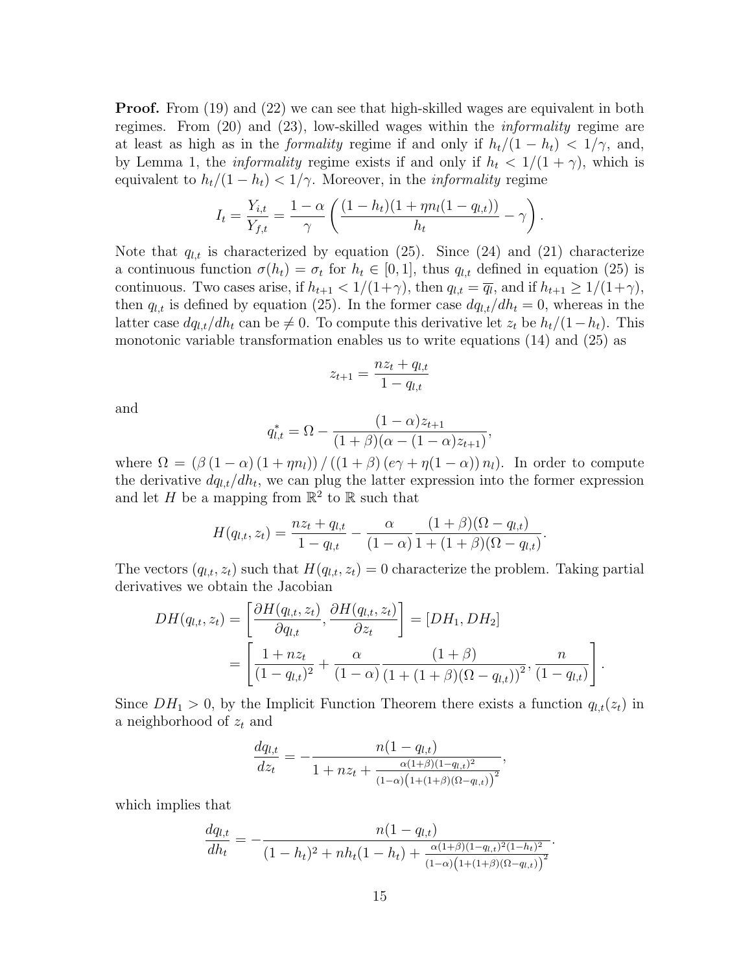**Proof.** From (19) and (22) we can see that high-skilled wages are equivalent in both regimes. From (20) and (23), low-skilled wages within the *informality* regime are at least as high as in the *formality* regime if and only if  $h_t/(1-h_t) < 1/\gamma$ , and, by Lemma 1, the *informality* regime exists if and only if  $h_t < 1/(1 + \gamma)$ , which is equivalent to  $h_t/(1-h_t) < 1/\gamma$ . Moreover, in the *informality* regime

$$
I_t = \frac{Y_{i,t}}{Y_{f,t}} = \frac{1 - \alpha}{\gamma} \left( \frac{(1 - h_t)(1 + \eta n_l(1 - q_{l,t}))}{h_t} - \gamma \right).
$$

Note that  $q_{l,t}$  is characterized by equation (25). Since (24) and (21) characterize a continuous function  $\sigma(h_t) = \sigma_t$  for  $h_t \in [0,1]$ , thus  $q_{l,t}$  defined in equation (25) is continuous. Two cases arise, if  $h_{t+1} < 1/(1+\gamma)$ , then  $q_{l,t} = \overline{q_l}$ , and if  $h_{t+1} \geq 1/(1+\gamma)$ , then  $q_{l,t}$  is defined by equation (25). In the former case  $dq_{l,t}/dh_t = 0$ , whereas in the latter case  $dq_{l,t}/dh_t$  can be  $\neq 0$ . To compute this derivative let  $z_t$  be  $h_t/(1-h_t)$ . This monotonic variable transformation enables us to write equations (14) and (25) as

$$
z_{t+1} = \frac{nz_t + q_{l,t}}{1 - q_{l,t}}
$$

and

$$
q_{l,t}^* = \Omega - \frac{(1-\alpha)z_{t+1}}{(1+\beta)(\alpha - (1-\alpha)z_{t+1})},
$$

where  $\Omega = (\beta (1 - \alpha) (1 + \eta n_l)) / ((1 + \beta) (e \gamma + \eta (1 - \alpha)) n_l)$ . In order to compute the derivative  $dq_{l,t}/dh_t$ , we can plug the latter expression into the former expression and let H be a mapping from  $\mathbb{R}^2$  to  $\mathbb R$  such that

$$
H(q_{l,t}, z_t) = \frac{n z_t + q_{l,t}}{1 - q_{l,t}} - \frac{\alpha}{(1 - \alpha)} \frac{(1 + \beta)(\Omega - q_{l,t})}{1 + (1 + \beta)(\Omega - q_{l,t})}.
$$

The vectors  $(q_{l,t}, z_t)$  such that  $H(q_{l,t}, z_t) = 0$  characterize the problem. Taking partial derivatives we obtain the Jacobian

$$
DH(q_{l,t}, z_t) = \left[ \frac{\partial H(q_{l,t}, z_t)}{\partial q_{l,t}}, \frac{\partial H(q_{l,t}, z_t)}{\partial z_t} \right] = [DH_1, DH_2]
$$
  
= 
$$
\left[ \frac{1 + nz_t}{(1 - q_{l,t})^2} + \frac{\alpha}{(1 - \alpha)} \frac{(1 + \beta)}{(1 + (1 + \beta)(\Omega - q_{l,t}))^2}, \frac{n}{(1 - q_{l,t})} \right].
$$

Since  $DH_1 > 0$ , by the Implicit Function Theorem there exists a function  $q_{l,t}(z_t)$  in a neighborhood of  $z_t$  and

$$
\frac{dq_{l,t}}{dz_t} = -\frac{n(1-q_{l,t})}{1 + nz_t + \frac{\alpha(1+\beta)(1-q_{l,t})^2}{(1-\alpha)\left(1+(1+\beta)(\Omega-q_{l,t})\right)^2}},
$$

which implies that

$$
\frac{dq_{l,t}}{dh_t} = -\frac{n(1-q_{l,t})}{(1-h_t)^2 + nh_t(1-h_t) + \frac{\alpha(1+\beta)(1-q_{l,t})^2(1-h_t)^2}{(1-\alpha)(1+(1+\beta)(\Omega-q_{l,t}))^2}}.
$$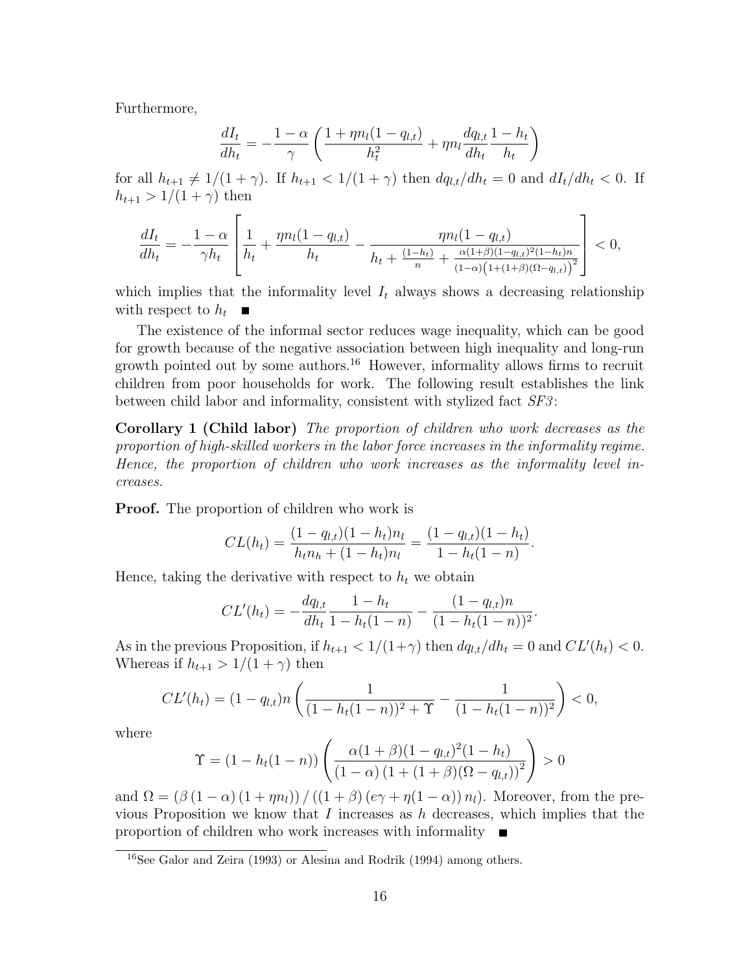Furthermore,

$$
\frac{dI_t}{dh_t} = -\frac{1-\alpha}{\gamma} \left( \frac{1+\eta n_l(1-q_{l,t})}{h_t^2} + \eta n_l \frac{dq_{l,t}}{dh_t} \frac{1-h_t}{h_t} \right)
$$

for all  $h_{t+1} \neq 1/(1 + \gamma)$ . If  $h_{t+1} < 1/(1 + \gamma)$  then  $dq_{l,t}/dh_t = 0$  and  $dI_t/dh_t < 0$ . If  $h_{t+1} > 1/(1+\gamma)$  then

$$
\frac{dI_t}{dh_t} = -\frac{1-\alpha}{\gamma h_t} \left[ \frac{1}{h_t} + \frac{\eta n_l (1-q_{l,t})}{h_t} - \frac{\eta n_l (1-q_{l,t})}{h_t + \frac{(1-h_t)}{n} + \frac{\alpha (1+\beta)(1-q_{l,t})^2 (1-h_t)n}{(1-\alpha)(1+(1+\beta)(\Omega-q_{l,t}))^2}} \right] < 0,
$$

which implies that the informality level  $I_t$  always shows a decreasing relationship with respect to  $h_t$   $\blacksquare$ 

The existence of the informal sector reduces wage inequality, which can be good for growth because of the negative association between high inequality and long-run growth pointed out by some authors.<sup>16</sup> However, informality allows firms to recruit children from poor households for work. The following result establishes the link between child labor and informality, consistent with stylized fact SF3:

Corollary 1 (Child labor) The proportion of children who work decreases as the proportion of high-skilled workers in the labor force increases in the informality regime. Hence, the proportion of children who work increases as the informality level increases.

**Proof.** The proportion of children who work is

$$
CL(h_t) = \frac{(1 - q_{l,t})(1 - h_t)n_l}{h_t n_h + (1 - h_t)n_l} = \frac{(1 - q_{l,t})(1 - h_t)}{1 - h_t(1 - n)}.
$$

Hence, taking the derivative with respect to  $h_t$  we obtain

$$
CL'(h_t) = -\frac{dq_{l,t}}{dh_t} \frac{1-h_t}{1-h_t(1-n)} - \frac{(1-q_{l,t})n}{(1-h_t(1-n))^2}.
$$

As in the previous Proposition, if  $h_{t+1} < 1/(1+\gamma)$  then  $dq_{l,t}/dh_t = 0$  and  $CL'(h_t) < 0$ . Whereas if  $h_{t+1} > 1/(1+\gamma)$  then

$$
CL'(h_t) = (1 - q_{l,t})n\left(\frac{1}{(1 - h_t(1 - n))^2 + \Upsilon} - \frac{1}{(1 - h_t(1 - n))^2}\right) < 0,
$$

where

$$
\Upsilon = (1 - h_t(1 - n)) \left( \frac{\alpha (1 + \beta)(1 - q_{t,t})^2 (1 - h_t)}{(1 - \alpha) (1 + (1 + \beta)(\Omega - q_{t,t}))^2} \right) > 0
$$

and  $\Omega = (\beta (1 - \alpha) (1 + \eta n_l)) / ((1 + \beta) (e\gamma + \eta (1 - \alpha)) n_l)$ . Moreover, from the previous Proposition we know that I increases as h decreases, which implies that the proportion of children who work increases with informality

<sup>16</sup>See Galor and Zeira (1993) or Alesina and Rodrik (1994) among others.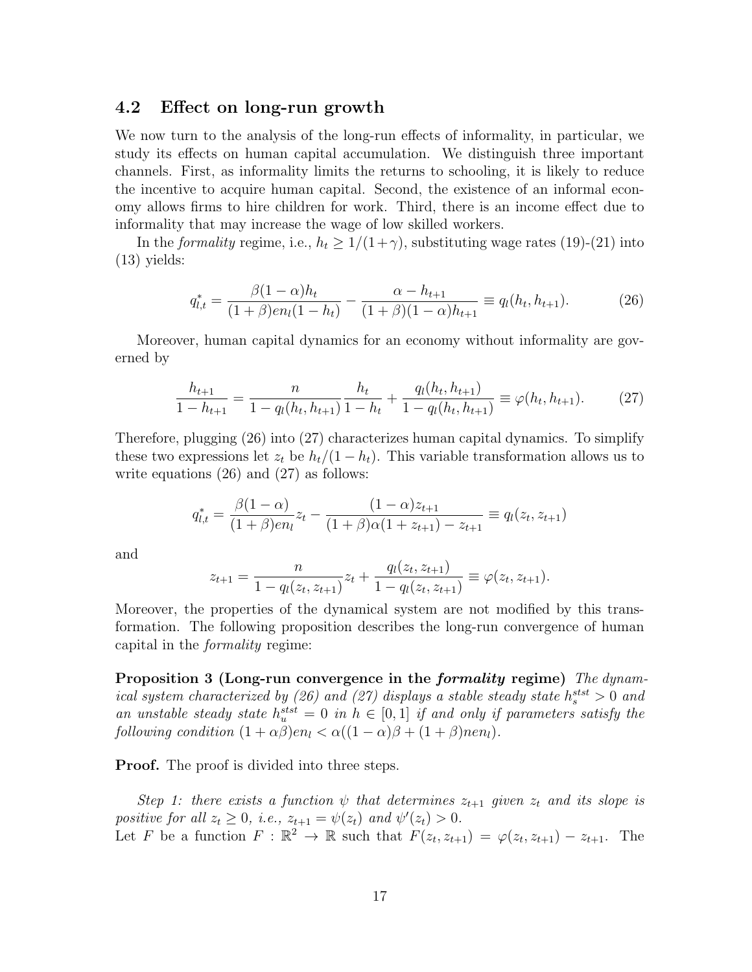#### 4.2 Effect on long-run growth

We now turn to the analysis of the long-run effects of informality, in particular, we study its effects on human capital accumulation. We distinguish three important channels. First, as informality limits the returns to schooling, it is likely to reduce the incentive to acquire human capital. Second, the existence of an informal economy allows firms to hire children for work. Third, there is an income effect due to informality that may increase the wage of low skilled workers.

In the *formality* regime, i.e.,  $h_t \geq 1/(1+\gamma)$ , substituting wage rates (19)-(21) into (13) yields:

$$
q_{l,t}^* = \frac{\beta(1-\alpha)h_t}{(1+\beta)en_l(1-h_t)} - \frac{\alpha-h_{t+1}}{(1+\beta)(1-\alpha)h_{t+1}} \equiv q_l(h_t, h_{t+1}).
$$
 (26)

Moreover, human capital dynamics for an economy without informality are governed by

$$
\frac{h_{t+1}}{1 - h_{t+1}} = \frac{n}{1 - q_l(h_t, h_{t+1})} \frac{h_t}{1 - h_t} + \frac{q_l(h_t, h_{t+1})}{1 - q_l(h_t, h_{t+1})} \equiv \varphi(h_t, h_{t+1}).\tag{27}
$$

Therefore, plugging (26) into (27) characterizes human capital dynamics. To simplify these two expressions let  $z_t$  be  $h_t/(1-h_t)$ . This variable transformation allows us to write equations  $(26)$  and  $(27)$  as follows:

$$
q_{l,t}^* = \frac{\beta(1-\alpha)}{(1+\beta)en_l}z_t - \frac{(1-\alpha)z_{t+1}}{(1+\beta)\alpha(1+z_{t+1}) - z_{t+1}} \equiv q_l(z_t, z_{t+1})
$$

and

$$
z_{t+1} = \frac{n}{1 - q_l(z_t, z_{t+1})} z_t + \frac{q_l(z_t, z_{t+1})}{1 - q_l(z_t, z_{t+1})} \equiv \varphi(z_t, z_{t+1}).
$$

Moreover, the properties of the dynamical system are not modified by this transformation. The following proposition describes the long-run convergence of human capital in the formality regime:

Proposition 3 (Long-run convergence in the *formality* regime) The dynamical system characterized by (26) and (27) displays a stable steady state  $h_s^{stst} > 0$  and an unstable steady state  $h_u^{stst} = 0$  in  $h \in [0,1]$  if and only if parameters satisfy the following condition  $(1 + \alpha \beta)en_l < \alpha((1 - \alpha)\beta + (1 + \beta)nen_l)$ .

#### **Proof.** The proof is divided into three steps.

Step 1: there exists a function  $\psi$  that determines  $z_{t+1}$  given  $z_t$  and its slope is positive for all  $z_t \geq 0$ , i.e.,  $z_{t+1} = \psi(z_t)$  and  $\psi'(z_t) > 0$ . Let F be a function  $F : \mathbb{R}^2 \to \mathbb{R}$  such that  $F(z_t, z_{t+1}) = \varphi(z_t, z_{t+1}) - z_{t+1}$ . The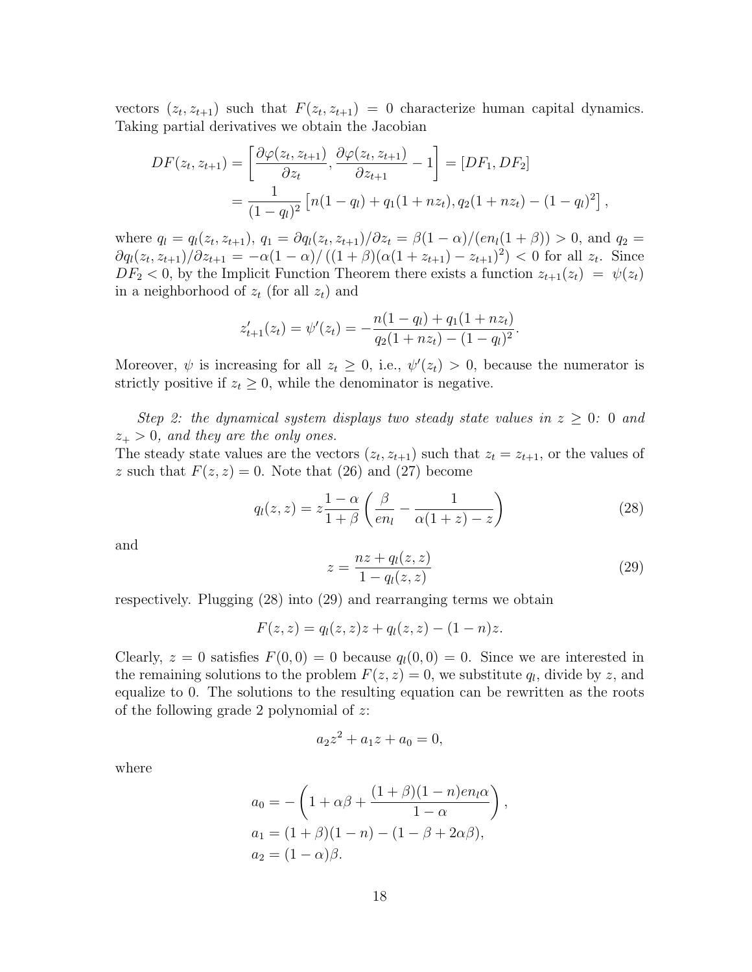vectors  $(z_t, z_{t+1})$  such that  $F(z_t, z_{t+1}) = 0$  characterize human capital dynamics. Taking partial derivatives we obtain the Jacobian

$$
DF(z_t, z_{t+1}) = \left[ \frac{\partial \varphi(z_t, z_{t+1})}{\partial z_t}, \frac{\partial \varphi(z_t, z_{t+1})}{\partial z_{t+1}} - 1 \right] = [DF_1, DF_2]
$$
  
= 
$$
\frac{1}{(1 - q_l)^2} \left[ n(1 - q_l) + q_1(1 + nz_t), q_2(1 + nz_t) - (1 - q_l)^2 \right],
$$

where  $q_l = q_l(z_t, z_{t+1}), q_1 = \partial q_l(z_t, z_{t+1})/\partial z_t = \beta(1-\alpha)/(en_l(1+\beta)) > 0$ , and  $q_2 =$  $\partial q_l(z_t, z_{t+1})/\partial z_{t+1} = -\alpha(1-\alpha)/((1+\beta)(\alpha(1+z_{t+1})-z_{t+1})^2) < 0$  for all  $z_t$ . Since  $DF_2 < 0$ , by the Implicit Function Theorem there exists a function  $z_{t+1}(z_t) = \psi(z_t)$ in a neighborhood of  $z_t$  (for all  $z_t$ ) and

$$
z'_{t+1}(z_t) = \psi'(z_t) = -\frac{n(1-q_l) + q_1(1+nz_t)}{q_2(1+nz_t) - (1-q_l)^2}.
$$

Moreover,  $\psi$  is increasing for all  $z_t \geq 0$ , i.e.,  $\psi'(z_t) > 0$ , because the numerator is strictly positive if  $z_t \geq 0$ , while the denominator is negative.

Step 2: the dynamical system displays two steady state values in  $z \geq 0$ : 0 and  $z_{+} > 0$ , and they are the only ones.

The steady state values are the vectors  $(z_t, z_{t+1})$  such that  $z_t = z_{t+1}$ , or the values of z such that  $F(z, z) = 0$ . Note that (26) and (27) become

$$
q_l(z, z) = z \frac{1 - \alpha}{1 + \beta} \left( \frac{\beta}{en_l} - \frac{1}{\alpha(1 + z) - z} \right)
$$
 (28)

and

$$
z = \frac{nz + q_l(z, z)}{1 - q_l(z, z)}
$$
\n(29)

respectively. Plugging (28) into (29) and rearranging terms we obtain

$$
F(z, z) = ql(z, z)z + ql(z, z) - (1 - n)z.
$$

Clearly,  $z = 0$  satisfies  $F(0, 0) = 0$  because  $q_l(0, 0) = 0$ . Since we are interested in the remaining solutions to the problem  $F(z, z) = 0$ , we substitute  $q_l$ , divide by z, and equalize to 0. The solutions to the resulting equation can be rewritten as the roots of the following grade 2 polynomial of z:

$$
a_2 z^2 + a_1 z + a_0 = 0,
$$

where

$$
a_0 = -\left(1 + \alpha\beta + \frac{(1+\beta)(1-n)e_{n_l}\alpha}{1-\alpha}\right),
$$
  
\n
$$
a_1 = (1+\beta)(1-n) - (1-\beta+2\alpha\beta),
$$
  
\n
$$
a_2 = (1-\alpha)\beta.
$$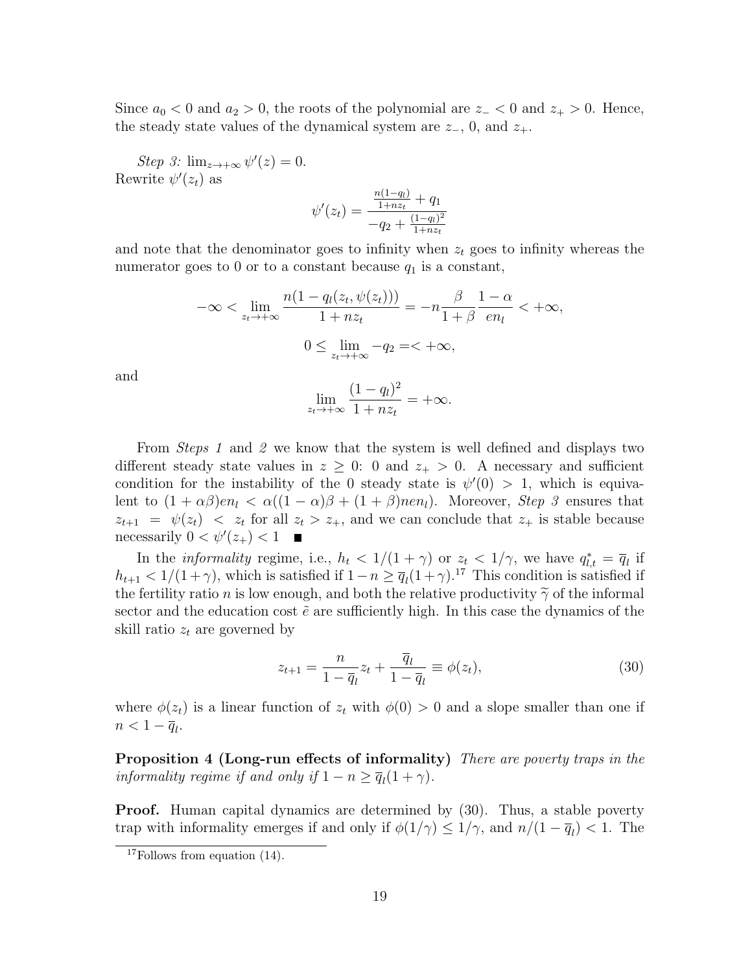Since  $a_0 < 0$  and  $a_2 > 0$ , the roots of the polynomial are  $z_-\lt 0$  and  $z_+ > 0$ . Hence, the steady state values of the dynamical system are  $z_$ , 0, and  $z_+$ .

Step 3:  $\lim_{z\to+\infty} \psi'(z) = 0.$ Rewrite  $\psi'(z_t)$  as

$$
\psi'(z_t) = \frac{\frac{n(1-q_t)}{1+nz_t} + q_1}{-q_2 + \frac{(1-q_t)^2}{1+nz_t}}
$$

and note that the denominator goes to infinity when  $z_t$  goes to infinity whereas the numerator goes to 0 or to a constant because  $q_1$  is a constant,

$$
-\infty < \lim_{z_t \to +\infty} \frac{n(1 - q_l(z_t, \psi(z_t)))}{1 + nz_t} = -n \frac{\beta}{1 + \beta} \frac{1 - \alpha}{en_l} < +\infty,
$$
\n
$$
0 \le \lim_{z_t \to +\infty} -q_2 = < +\infty,
$$
\n
$$
(1 - \alpha)^2
$$

and

$$
\lim_{z_t \to +\infty} \frac{(1 - q_l)^2}{1 + nz_t} = +\infty.
$$

From Steps 1 and 2 we know that the system is well defined and displays two different steady state values in  $z \geq 0$ : 0 and  $z_{+} > 0$ . A necessary and sufficient condition for the instability of the 0 steady state is  $\psi'(0) > 1$ , which is equivalent to  $(1 + \alpha \beta)en_l < \alpha((1 - \alpha)\beta + (1 + \beta)nen_l)$ . Moreover, *Step 3* ensures that  $z_{t+1} = \psi(z_t)$  <  $z_t$  for all  $z_t > z_+$ , and we can conclude that  $z_+$  is stable because necessarily  $0 < \psi'(z_+) < 1$ 

In the *informality* regime, i.e.,  $h_t < 1/(1 + \gamma)$  or  $z_t < 1/\gamma$ , we have  $q_{l,t}^* = \overline{q}_l$  if  $h_{t+1} < 1/(1+\gamma)$ , which is satisfied if  $1-n \ge \overline{q}_l(1+\gamma)$ .<sup>17</sup> This condition is satisfied if the fertility ratio n is low enough, and both the relative productivity  $\tilde{\gamma}$  of the informal sector and the education cost  $\tilde{e}$  are sufficiently high. In this case the dynamics of the skill ratio  $z_t$  are governed by

$$
z_{t+1} = \frac{n}{1 - \overline{q}_l} z_t + \frac{\overline{q}_l}{1 - \overline{q}_l} \equiv \phi(z_t),\tag{30}
$$

where  $\phi(z_t)$  is a linear function of  $z_t$  with  $\phi(0) > 0$  and a slope smaller than one if  $n < 1 - \overline{q}_l.$ 

Proposition 4 (Long-run effects of informality) There are poverty traps in the informality regime if and only if  $1 - n \ge \overline{q}_l(1 + \gamma)$ .

**Proof.** Human capital dynamics are determined by  $(30)$ . Thus, a stable poverty trap with informality emerges if and only if  $\phi(1/\gamma) \leq 1/\gamma$ , and  $n/(1 - \overline{q}_l) < 1$ . The

<sup>&</sup>lt;sup>17</sup>Follows from equation  $(14)$ .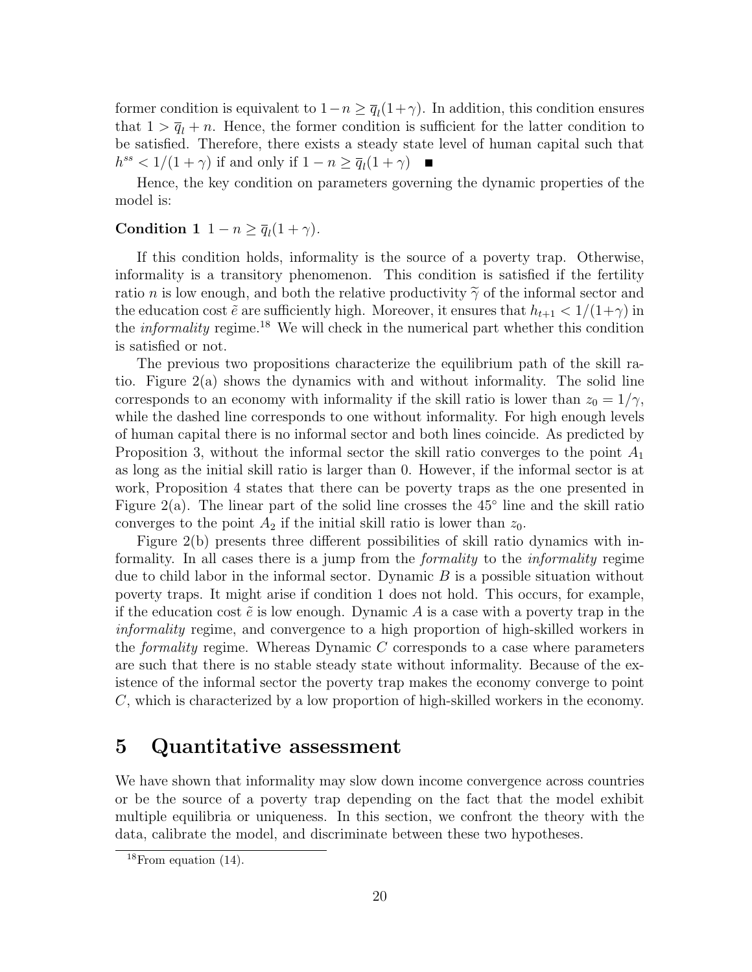former condition is equivalent to  $1-n \ge \overline{q}_l(1+\gamma)$ . In addition, this condition ensures that  $1 > \overline{q}_l + n$ . Hence, the former condition is sufficient for the latter condition to be satisfied. Therefore, there exists a steady state level of human capital such that  $h^{ss} < 1/(1+\gamma)$  if and only if  $1-n \ge \overline{q}_l(1+\gamma)$ П

Hence, the key condition on parameters governing the dynamic properties of the model is:

#### **Condition 1**  $1 - n \ge \overline{q}_l(1 + \gamma)$ .

If this condition holds, informality is the source of a poverty trap. Otherwise, informality is a transitory phenomenon. This condition is satisfied if the fertility ratio n is low enough, and both the relative productivity  $\tilde{\gamma}$  of the informal sector and the education cost  $\tilde{e}$  are sufficiently high. Moreover, it ensures that  $h_{t+1} < 1/(1+\gamma)$  in the informality regime.<sup>18</sup> We will check in the numerical part whether this condition is satisfied or not.

The previous two propositions characterize the equilibrium path of the skill ratio. Figure 2(a) shows the dynamics with and without informality. The solid line corresponds to an economy with informality if the skill ratio is lower than  $z_0 = 1/\gamma$ , while the dashed line corresponds to one without informality. For high enough levels of human capital there is no informal sector and both lines coincide. As predicted by Proposition 3, without the informal sector the skill ratio converges to the point  $A_1$ as long as the initial skill ratio is larger than 0. However, if the informal sector is at work, Proposition 4 states that there can be poverty traps as the one presented in Figure 2(a). The linear part of the solid line crosses the 45° line and the skill ratio converges to the point  $A_2$  if the initial skill ratio is lower than  $z_0$ .

Figure 2(b) presents three different possibilities of skill ratio dynamics with informality. In all cases there is a jump from the formality to the informality regime due to child labor in the informal sector. Dynamic  $B$  is a possible situation without poverty traps. It might arise if condition 1 does not hold. This occurs, for example, if the education cost  $\tilde{e}$  is low enough. Dynamic A is a case with a poverty trap in the informality regime, and convergence to a high proportion of high-skilled workers in the *formality* regime. Whereas Dynamic  $C$  corresponds to a case where parameters are such that there is no stable steady state without informality. Because of the existence of the informal sector the poverty trap makes the economy converge to point C, which is characterized by a low proportion of high-skilled workers in the economy.

### 5 Quantitative assessment

We have shown that informality may slow down income convergence across countries or be the source of a poverty trap depending on the fact that the model exhibit multiple equilibria or uniqueness. In this section, we confront the theory with the data, calibrate the model, and discriminate between these two hypotheses.

<sup>&</sup>lt;sup>18</sup> From equation (14).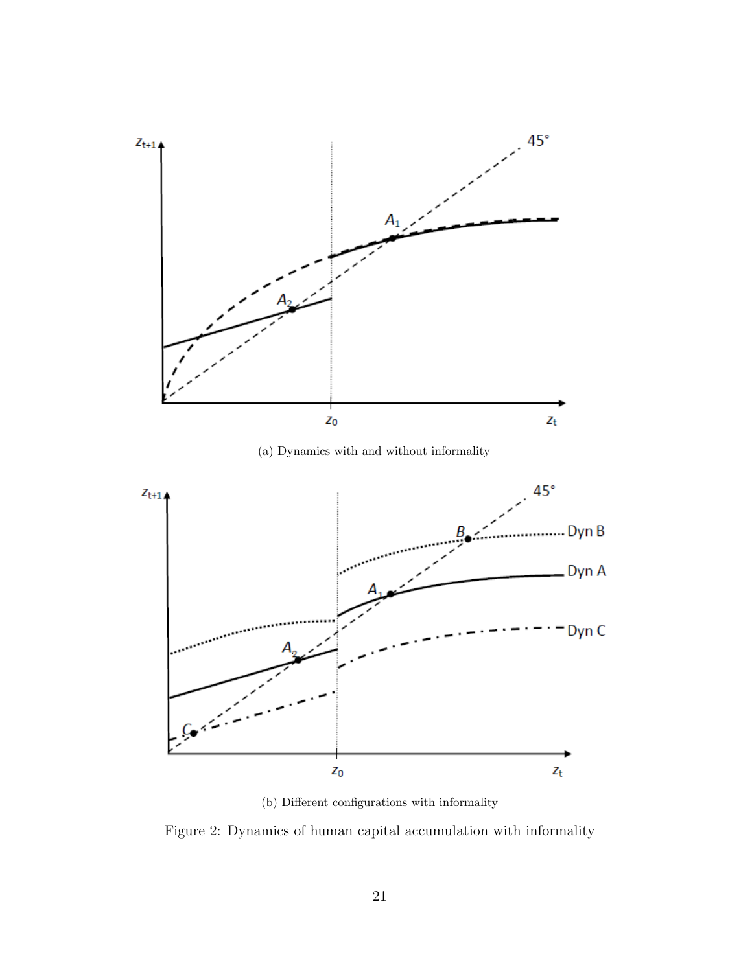

(a) Dynamics with and without informality



(b) Different configurations with informality

Figure 2: Dynamics of human capital accumulation with informality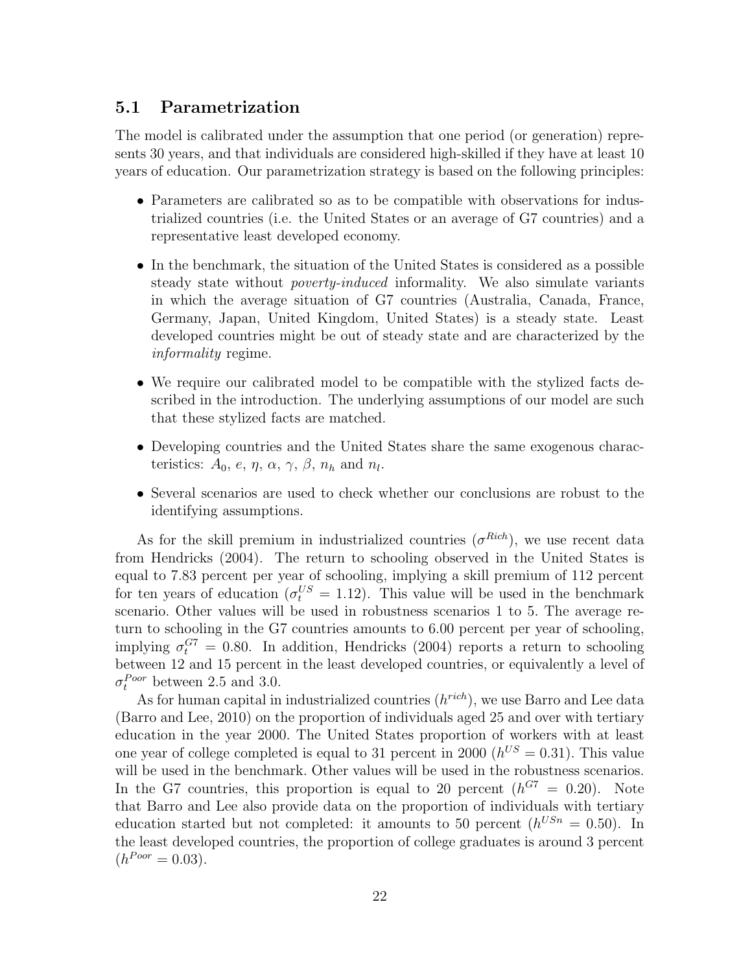#### 5.1 Parametrization

The model is calibrated under the assumption that one period (or generation) represents 30 years, and that individuals are considered high-skilled if they have at least 10 years of education. Our parametrization strategy is based on the following principles:

- Parameters are calibrated so as to be compatible with observations for industrialized countries (i.e. the United States or an average of G7 countries) and a representative least developed economy.
- In the benchmark, the situation of the United States is considered as a possible steady state without *poverty-induced* informality. We also simulate variants in which the average situation of G7 countries (Australia, Canada, France, Germany, Japan, United Kingdom, United States) is a steady state. Least developed countries might be out of steady state and are characterized by the informality regime.
- We require our calibrated model to be compatible with the stylized facts described in the introduction. The underlying assumptions of our model are such that these stylized facts are matched.
- Developing countries and the United States share the same exogenous characteristics:  $A_0$ , e,  $\eta$ ,  $\alpha$ ,  $\gamma$ ,  $\beta$ ,  $n_h$  and  $n_l$ .
- Several scenarios are used to check whether our conclusions are robust to the identifying assumptions.

As for the skill premium in industrialized countries  $(\sigma^{Rich})$ , we use recent data from Hendricks (2004). The return to schooling observed in the United States is equal to 7.83 percent per year of schooling, implying a skill premium of 112 percent for ten years of education  $(\sigma_t^{US} = 1.12)$ . This value will be used in the benchmark scenario. Other values will be used in robustness scenarios 1 to 5. The average return to schooling in the G7 countries amounts to 6.00 percent per year of schooling, implying  $\sigma_t^{G7} = 0.80$ . In addition, Hendricks (2004) reports a return to schooling between 12 and 15 percent in the least developed countries, or equivalently a level of  $\sigma_t^{Poor}$  between 2.5 and 3.0.

As for human capital in industrialized countries  $(h^{rich})$ , we use Barro and Lee data (Barro and Lee, 2010) on the proportion of individuals aged 25 and over with tertiary education in the year 2000. The United States proportion of workers with at least one year of college completed is equal to 31 percent in 2000 ( $h^{US} = 0.31$ ). This value will be used in the benchmark. Other values will be used in the robustness scenarios. In the G7 countries, this proportion is equal to 20 percent  $(h^{G7} = 0.20)$ . Note that Barro and Lee also provide data on the proportion of individuals with tertiary education started but not completed: it amounts to 50 percent  $(h^{USn} = 0.50)$ . In the least developed countries, the proportion of college graduates is around 3 percent  $(h^{Poor} = 0.03).$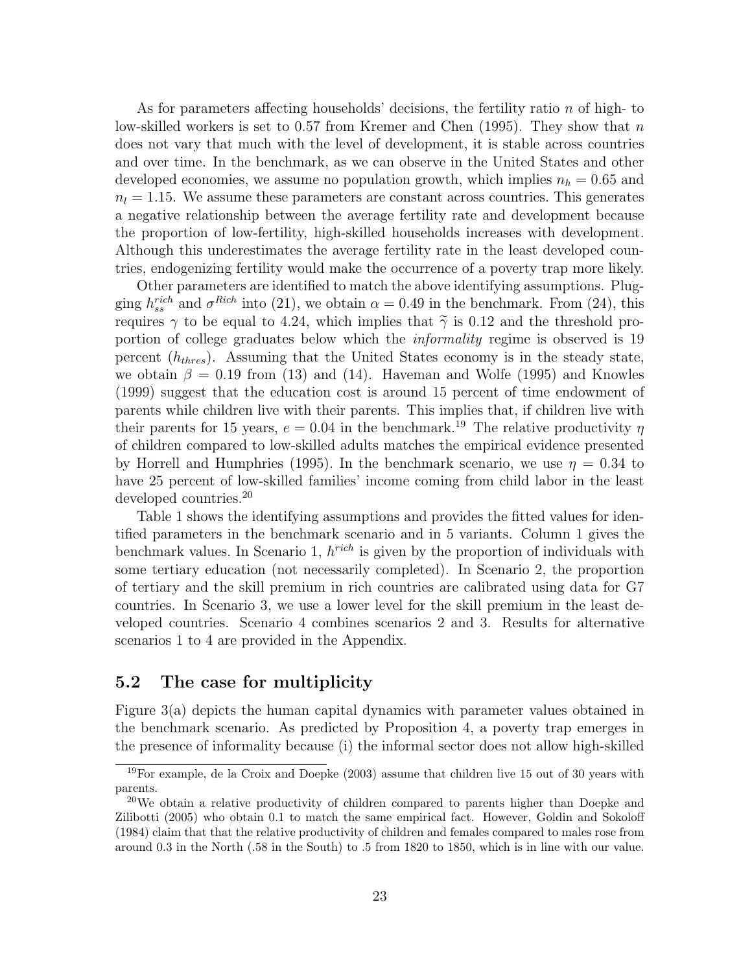As for parameters affecting households' decisions, the fertility ratio  $n$  of high-to low-skilled workers is set to 0.57 from Kremer and Chen (1995). They show that n does not vary that much with the level of development, it is stable across countries and over time. In the benchmark, as we can observe in the United States and other developed economies, we assume no population growth, which implies  $n_h = 0.65$  and  $n_l = 1.15$ . We assume these parameters are constant across countries. This generates a negative relationship between the average fertility rate and development because the proportion of low-fertility, high-skilled households increases with development. Although this underestimates the average fertility rate in the least developed countries, endogenizing fertility would make the occurrence of a poverty trap more likely.

Other parameters are identified to match the above identifying assumptions. Plugging  $h_{ss}^{rich}$  and  $\sigma^{Rich}$  into (21), we obtain  $\alpha = 0.49$  in the benchmark. From (24), this requires  $\gamma$  to be equal to 4.24, which implies that  $\tilde{\gamma}$  is 0.12 and the threshold proportion of college graduates below which the informality regime is observed is 19 percent  $(h_{thres})$ . Assuming that the United States economy is in the steady state, we obtain  $\beta = 0.19$  from (13) and (14). Haveman and Wolfe (1995) and Knowles (1999) suggest that the education cost is around 15 percent of time endowment of parents while children live with their parents. This implies that, if children live with their parents for 15 years,  $e = 0.04$  in the benchmark.<sup>19</sup> The relative productivity  $\eta$ of children compared to low-skilled adults matches the empirical evidence presented by Horrell and Humphries (1995). In the benchmark scenario, we use  $\eta = 0.34$  to have 25 percent of low-skilled families' income coming from child labor in the least developed countries.<sup>20</sup>

Table 1 shows the identifying assumptions and provides the fitted values for identified parameters in the benchmark scenario and in 5 variants. Column 1 gives the benchmark values. In Scenario 1,  $h^{rich}$  is given by the proportion of individuals with some tertiary education (not necessarily completed). In Scenario 2, the proportion of tertiary and the skill premium in rich countries are calibrated using data for G7 countries. In Scenario 3, we use a lower level for the skill premium in the least developed countries. Scenario 4 combines scenarios 2 and 3. Results for alternative scenarios 1 to 4 are provided in the Appendix.

#### 5.2 The case for multiplicity

Figure 3(a) depicts the human capital dynamics with parameter values obtained in the benchmark scenario. As predicted by Proposition 4, a poverty trap emerges in the presence of informality because (i) the informal sector does not allow high-skilled

<sup>19</sup>For example, de la Croix and Doepke (2003) assume that children live 15 out of 30 years with parents.

<sup>20</sup>We obtain a relative productivity of children compared to parents higher than Doepke and Zilibotti (2005) who obtain 0.1 to match the same empirical fact. However, Goldin and Sokoloff (1984) claim that that the relative productivity of children and females compared to males rose from around 0.3 in the North (.58 in the South) to .5 from 1820 to 1850, which is in line with our value.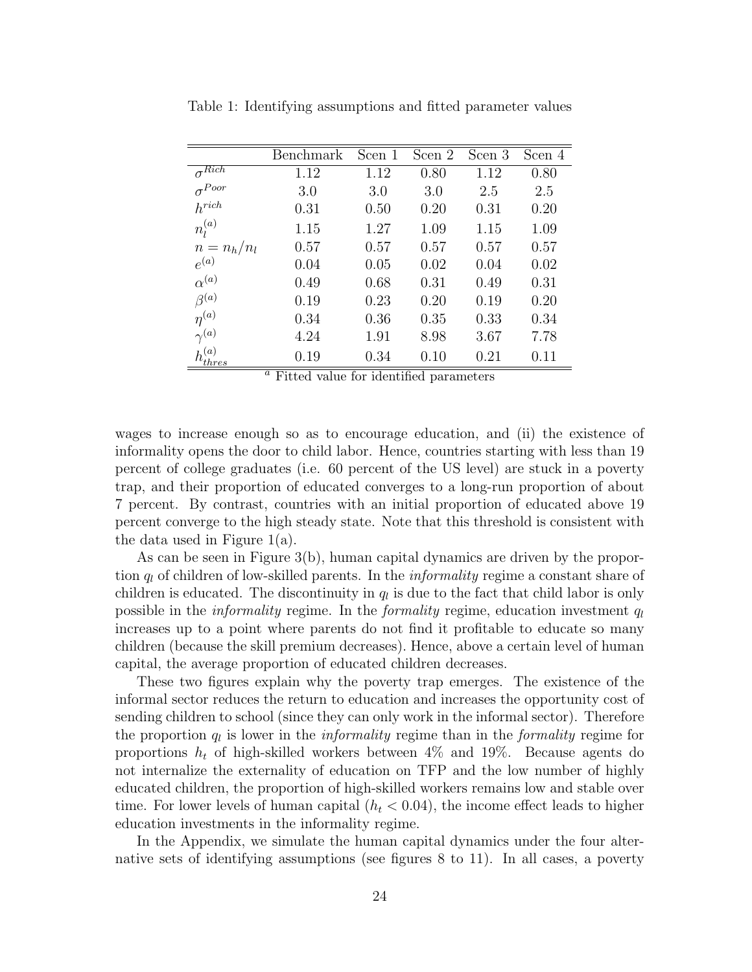|                    | Benchmark | Scen 1 | Scen 2 | Scen 3 | Scen 4 |
|--------------------|-----------|--------|--------|--------|--------|
| $\sigma^{Rich}$    | 1.12      | 1.12   | 0.80   | 1.12   | 0.80   |
| $\sigma^{Poor}$    | 3.0       | 3.0    | 3.0    | 2.5    | 2.5    |
| $h^{rich}$         | 0.31      | 0.50   | 0.20   | 0.31   | 0.20   |
| $n_l^{(a)}$        | 1.15      | 1.27   | 1.09   | 1.15   | 1.09   |
| $n = n_h/n_l$      | 0.57      | 0.57   | 0.57   | 0.57   | 0.57   |
| $e^{(a)}$          | 0.04      | 0.05   | 0.02   | 0.04   | 0.02   |
| $\alpha^{(a)}$     | 0.49      | 0.68   | 0.31   | 0.49   | 0.31   |
| $\beta^{(a)}$      | 0.19      | 0.23   | 0.20   | 0.19   | 0.20   |
| $\eta^{(a)}$       | 0.34      | 0.36   | 0.35   | 0.33   | 0.34   |
| $\gamma^{(a)}$     | 4.24      | 1.91   | 8.98   | 3.67   | 7.78   |
| (a)<br>$h_{thres}$ | 0.19      | 0.34   | 0.10   | 0.21   | 0.11   |

Table 1: Identifying assumptions and fitted parameter values

<sup>a</sup> Fitted value for identified parameters

wages to increase enough so as to encourage education, and (ii) the existence of informality opens the door to child labor. Hence, countries starting with less than 19 percent of college graduates (i.e. 60 percent of the US level) are stuck in a poverty trap, and their proportion of educated converges to a long-run proportion of about 7 percent. By contrast, countries with an initial proportion of educated above 19 percent converge to the high steady state. Note that this threshold is consistent with the data used in Figure 1(a).

As can be seen in Figure 3(b), human capital dynamics are driven by the proportion  $q_l$  of children of low-skilled parents. In the *informality* regime a constant share of children is educated. The discontinuity in  $q_l$  is due to the fact that child labor is only possible in the *informality* regime. In the *formality* regime, education investment  $q_l$ increases up to a point where parents do not find it profitable to educate so many children (because the skill premium decreases). Hence, above a certain level of human capital, the average proportion of educated children decreases.

These two figures explain why the poverty trap emerges. The existence of the informal sector reduces the return to education and increases the opportunity cost of sending children to school (since they can only work in the informal sector). Therefore the proportion  $q_l$  is lower in the *informality* regime than in the *formality* regime for proportions  $h_t$  of high-skilled workers between 4% and 19%. Because agents do not internalize the externality of education on TFP and the low number of highly educated children, the proportion of high-skilled workers remains low and stable over time. For lower levels of human capital  $(h_t < 0.04)$ , the income effect leads to higher education investments in the informality regime.

In the Appendix, we simulate the human capital dynamics under the four alternative sets of identifying assumptions (see figures 8 to 11). In all cases, a poverty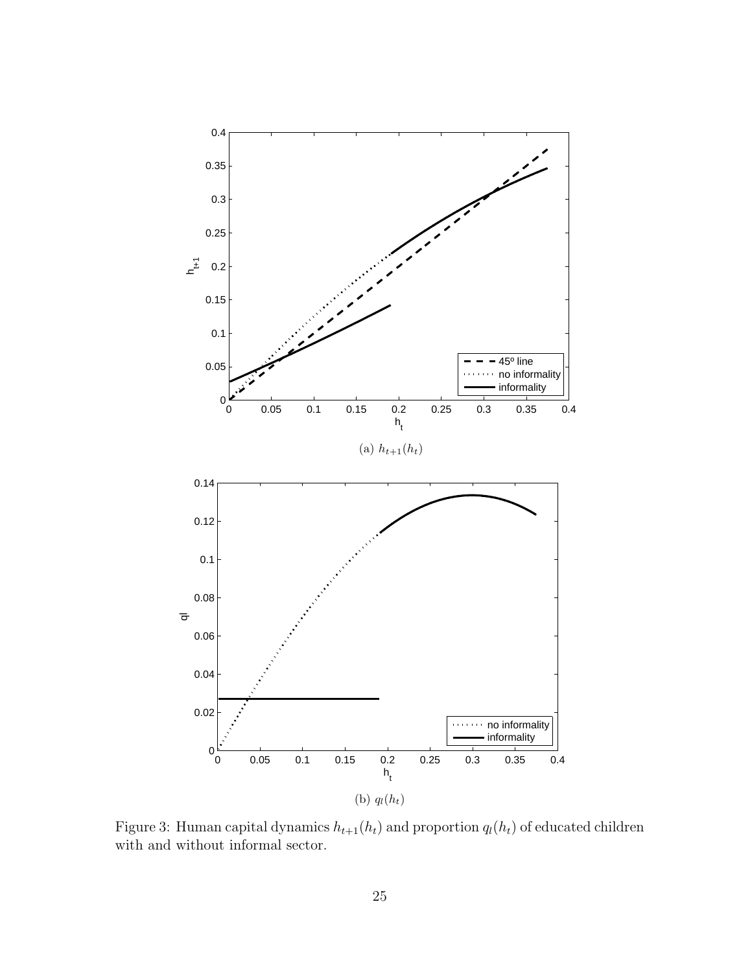

Figure 3: Human capital dynamics  $h_{t+1}(h_t)$  and proportion  $q_l(h_t)$  of educated children with and without informal sector.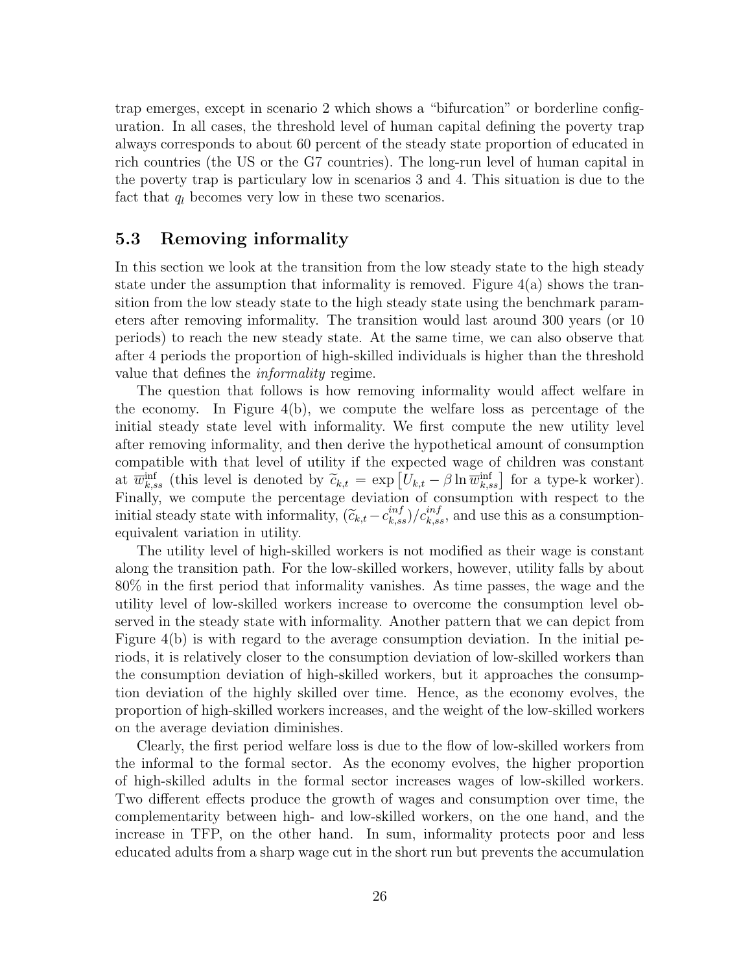trap emerges, except in scenario 2 which shows a "bifurcation" or borderline configuration. In all cases, the threshold level of human capital defining the poverty trap always corresponds to about 60 percent of the steady state proportion of educated in rich countries (the US or the G7 countries). The long-run level of human capital in the poverty trap is particulary low in scenarios 3 and 4. This situation is due to the fact that  $q_l$  becomes very low in these two scenarios.

#### 5.3 Removing informality

In this section we look at the transition from the low steady state to the high steady state under the assumption that informality is removed. Figure  $4(a)$  shows the transition from the low steady state to the high steady state using the benchmark parameters after removing informality. The transition would last around 300 years (or 10 periods) to reach the new steady state. At the same time, we can also observe that after 4 periods the proportion of high-skilled individuals is higher than the threshold value that defines the informality regime.

The question that follows is how removing informality would affect welfare in the economy. In Figure 4(b), we compute the welfare loss as percentage of the initial steady state level with informality. We first compute the new utility level after removing informality, and then derive the hypothetical amount of consumption compatible with that level of utility if the expected wage of children was constant at  $\overline{w}_{k,ss}^{\text{inf}}$  (this level is denoted by  $\widetilde{c}_{k,t} = \exp \left[ U_{k,t} - \beta \ln \overline{w}_{k,ss}^{\text{inf}} \right]$  for a type-k worker). Finally, we compute the percentage deviation of consumption with respect to the initial steady state with informality,  $(\widetilde{c}_{k,t} - c_{k,ss}^{inf})/c_{k,ss}^{inf}$ , and use this as a consumption-<br>conjuglent veristion in utility equivalent variation in utility.

The utility level of high-skilled workers is not modified as their wage is constant along the transition path. For the low-skilled workers, however, utility falls by about 80% in the first period that informality vanishes. As time passes, the wage and the utility level of low-skilled workers increase to overcome the consumption level observed in the steady state with informality. Another pattern that we can depict from Figure 4(b) is with regard to the average consumption deviation. In the initial periods, it is relatively closer to the consumption deviation of low-skilled workers than the consumption deviation of high-skilled workers, but it approaches the consumption deviation of the highly skilled over time. Hence, as the economy evolves, the proportion of high-skilled workers increases, and the weight of the low-skilled workers on the average deviation diminishes.

Clearly, the first period welfare loss is due to the flow of low-skilled workers from the informal to the formal sector. As the economy evolves, the higher proportion of high-skilled adults in the formal sector increases wages of low-skilled workers. Two different effects produce the growth of wages and consumption over time, the complementarity between high- and low-skilled workers, on the one hand, and the increase in TFP, on the other hand. In sum, informality protects poor and less educated adults from a sharp wage cut in the short run but prevents the accumulation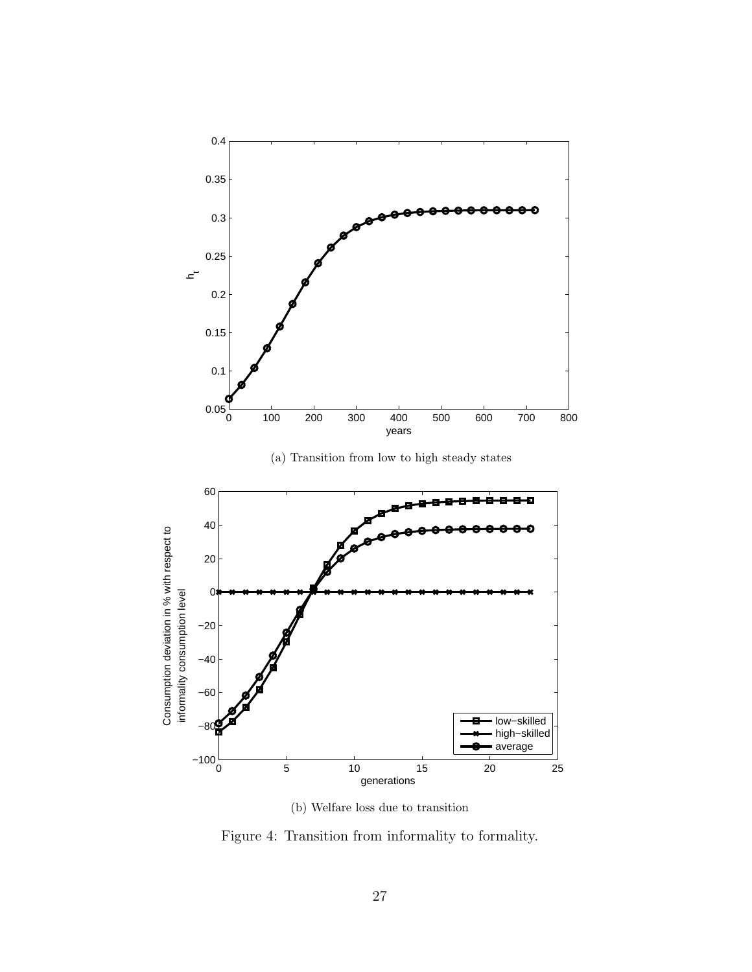

(b) Welfare loss due to transition

Figure 4: Transition from informality to formality.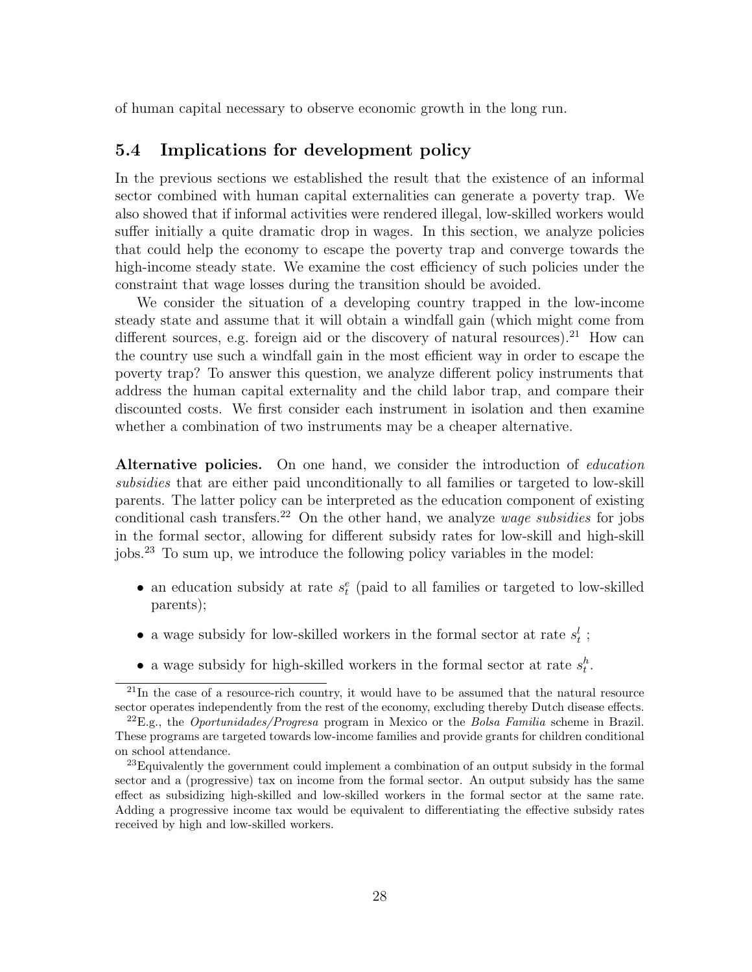of human capital necessary to observe economic growth in the long run.

#### 5.4 Implications for development policy

In the previous sections we established the result that the existence of an informal sector combined with human capital externalities can generate a poverty trap. We also showed that if informal activities were rendered illegal, low-skilled workers would suffer initially a quite dramatic drop in wages. In this section, we analyze policies that could help the economy to escape the poverty trap and converge towards the high-income steady state. We examine the cost efficiency of such policies under the constraint that wage losses during the transition should be avoided.

We consider the situation of a developing country trapped in the low-income steady state and assume that it will obtain a windfall gain (which might come from different sources, e.g. foreign aid or the discovery of natural resources).<sup>21</sup> How can the country use such a windfall gain in the most efficient way in order to escape the poverty trap? To answer this question, we analyze different policy instruments that address the human capital externality and the child labor trap, and compare their discounted costs. We first consider each instrument in isolation and then examine whether a combination of two instruments may be a cheaper alternative.

Alternative policies. On one hand, we consider the introduction of *education* subsidies that are either paid unconditionally to all families or targeted to low-skill parents. The latter policy can be interpreted as the education component of existing conditional cash transfers.<sup>22</sup> On the other hand, we analyze *wage subsidies* for jobs in the formal sector, allowing for different subsidy rates for low-skill and high-skill jobs.<sup>23</sup> To sum up, we introduce the following policy variables in the model:

- an education subsidy at rate  $s_t^e$  (paid to all families or targeted to low-skilled parents);
- a wage subsidy for low-skilled workers in the formal sector at rate  $s_t^l$ ;
- a wage subsidy for high-skilled workers in the formal sector at rate  $s_t^h$ .

 $^{21}$ In the case of a resource-rich country, it would have to be assumed that the natural resource sector operates independently from the rest of the economy, excluding thereby Dutch disease effects.

 $^{22}E.g.,$  the *Oportunidades/Progresa* program in Mexico or the *Bolsa Familia* scheme in Brazil. These programs are targeted towards low-income families and provide grants for children conditional on school attendance.

 $^{23}$ Equivalently the government could implement a combination of an output subsidy in the formal sector and a (progressive) tax on income from the formal sector. An output subsidy has the same effect as subsidizing high-skilled and low-skilled workers in the formal sector at the same rate. Adding a progressive income tax would be equivalent to differentiating the effective subsidy rates received by high and low-skilled workers.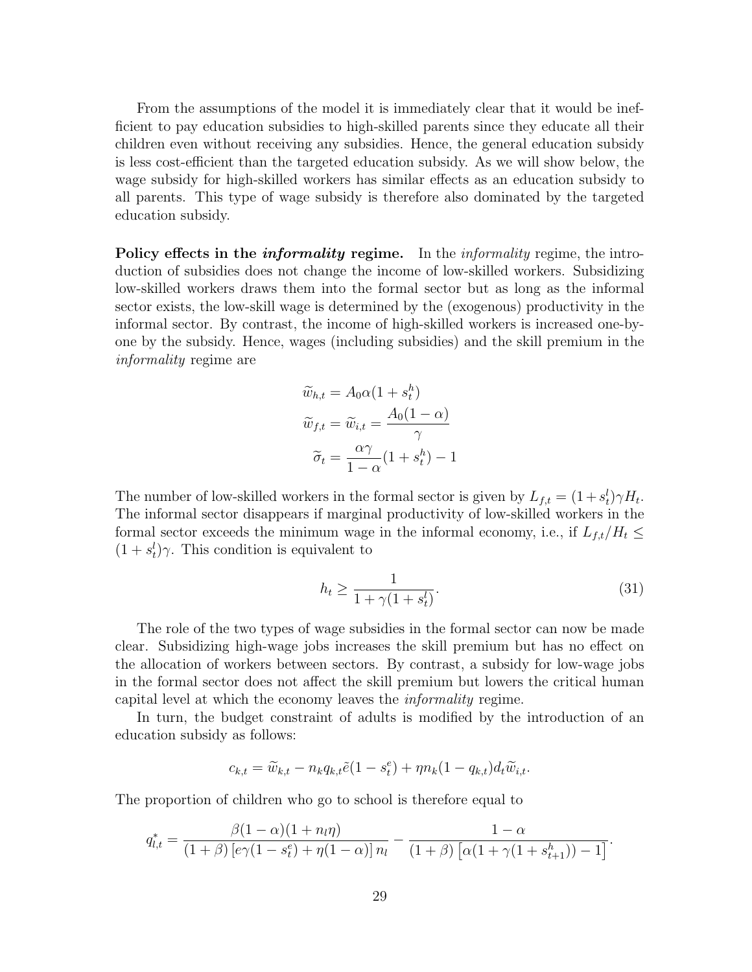From the assumptions of the model it is immediately clear that it would be inefficient to pay education subsidies to high-skilled parents since they educate all their children even without receiving any subsidies. Hence, the general education subsidy is less cost-efficient than the targeted education subsidy. As we will show below, the wage subsidy for high-skilled workers has similar effects as an education subsidy to all parents. This type of wage subsidy is therefore also dominated by the targeted education subsidy.

Policy effects in the *informality* regime. In the *informality* regime, the introduction of subsidies does not change the income of low-skilled workers. Subsidizing low-skilled workers draws them into the formal sector but as long as the informal sector exists, the low-skill wage is determined by the (exogenous) productivity in the informal sector. By contrast, the income of high-skilled workers is increased one-byone by the subsidy. Hence, wages (including subsidies) and the skill premium in the informality regime are

$$
\widetilde{w}_{h,t} = A_0 \alpha (1 + s_t^h)
$$

$$
\widetilde{w}_{f,t} = \widetilde{w}_{i,t} = \frac{A_0 (1 - \alpha)}{\gamma}
$$

$$
\widetilde{\sigma}_t = \frac{\alpha \gamma}{1 - \alpha} (1 + s_t^h) - 1
$$

The number of low-skilled workers in the formal sector is given by  $L_{f,t} = (1 + s_t^l) \gamma H_t$ . The informal sector disappears if marginal productivity of low-skilled workers in the formal sector exceeds the minimum wage in the informal economy, i.e., if  $L_{f,t}/H_t \leq$  $(1 + s_t^l)\gamma$ . This condition is equivalent to

$$
h_t \ge \frac{1}{1 + \gamma (1 + s_t^l)}.\tag{31}
$$

The role of the two types of wage subsidies in the formal sector can now be made clear. Subsidizing high-wage jobs increases the skill premium but has no effect on the allocation of workers between sectors. By contrast, a subsidy for low-wage jobs in the formal sector does not affect the skill premium but lowers the critical human capital level at which the economy leaves the informality regime.

In turn, the budget constraint of adults is modified by the introduction of an education subsidy as follows:

$$
c_{k,t} = \widetilde{w}_{k,t} - n_k q_{k,t} \widetilde{e}(1 - s_t^e) + \eta n_k (1 - q_{k,t}) d_t \widetilde{w}_{i,t}.
$$

The proportion of children who go to school is therefore equal to

$$
q_{l,t}^* = \frac{\beta(1-\alpha)(1+n_l\eta)}{(1+\beta)\left[e\gamma(1-s_t^e)+\eta(1-\alpha)\right]n_l} - \frac{1-\alpha}{(1+\beta)\left[\alpha(1+\gamma(1+s_{t+1}^h))-1\right]}.
$$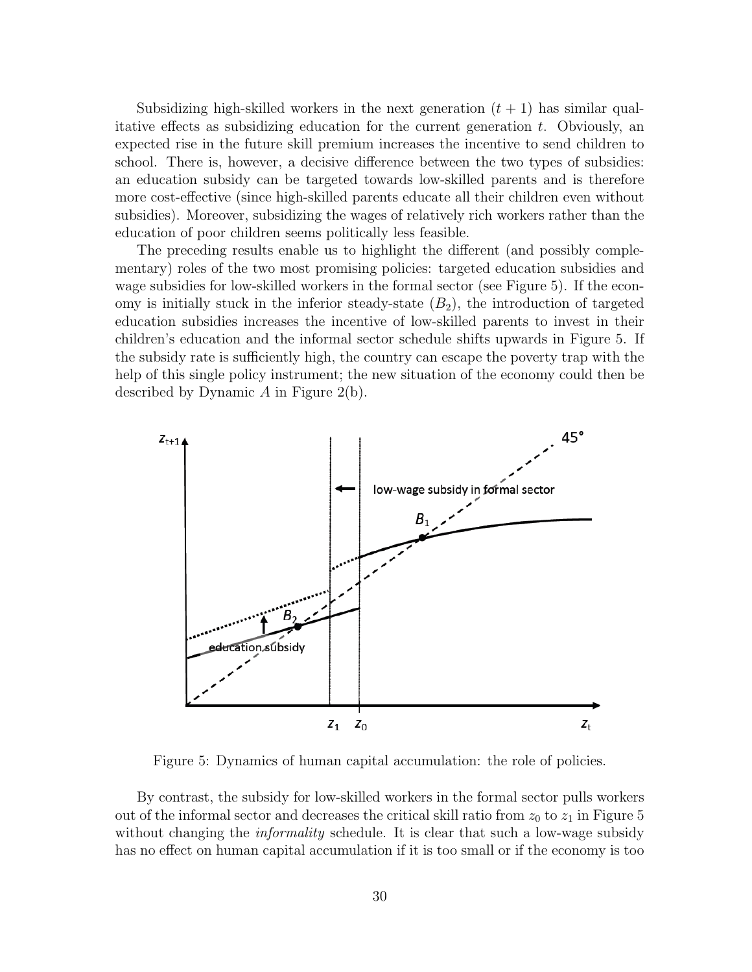Subsidizing high-skilled workers in the next generation  $(t + 1)$  has similar qualitative effects as subsidizing education for the current generation  $t$ . Obviously, an expected rise in the future skill premium increases the incentive to send children to school. There is, however, a decisive difference between the two types of subsidies: an education subsidy can be targeted towards low-skilled parents and is therefore more cost-effective (since high-skilled parents educate all their children even without subsidies). Moreover, subsidizing the wages of relatively rich workers rather than the education of poor children seems politically less feasible.

The preceding results enable us to highlight the different (and possibly complementary) roles of the two most promising policies: targeted education subsidies and wage subsidies for low-skilled workers in the formal sector (see Figure 5). If the economy is initially stuck in the inferior steady-state  $(B_2)$ , the introduction of targeted education subsidies increases the incentive of low-skilled parents to invest in their children's education and the informal sector schedule shifts upwards in Figure 5. If the subsidy rate is sufficiently high, the country can escape the poverty trap with the help of this single policy instrument; the new situation of the economy could then be described by Dynamic A in Figure 2(b).



Figure 5: Dynamics of human capital accumulation: the role of policies.

By contrast, the subsidy for low-skilled workers in the formal sector pulls workers out of the informal sector and decreases the critical skill ratio from  $z_0$  to  $z_1$  in Figure 5 without changing the *informality* schedule. It is clear that such a low-wage subsidy has no effect on human capital accumulation if it is too small or if the economy is too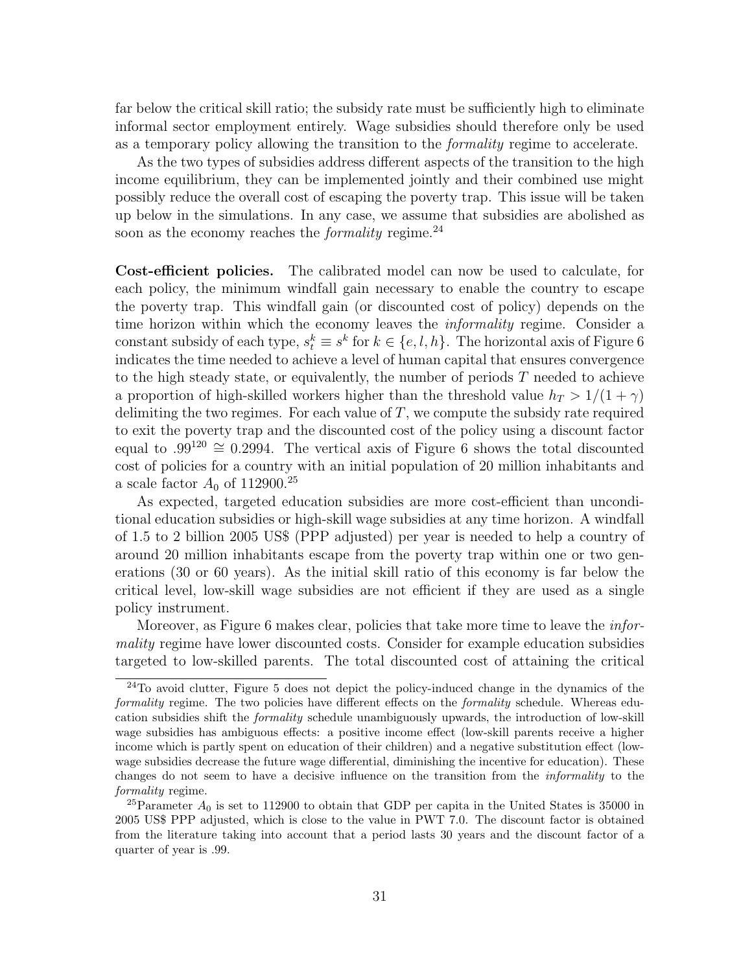far below the critical skill ratio; the subsidy rate must be sufficiently high to eliminate informal sector employment entirely. Wage subsidies should therefore only be used as a temporary policy allowing the transition to the formality regime to accelerate.

As the two types of subsidies address different aspects of the transition to the high income equilibrium, they can be implemented jointly and their combined use might possibly reduce the overall cost of escaping the poverty trap. This issue will be taken up below in the simulations. In any case, we assume that subsidies are abolished as soon as the economy reaches the *formality* regime.<sup>24</sup>

Cost-efficient policies. The calibrated model can now be used to calculate, for each policy, the minimum windfall gain necessary to enable the country to escape the poverty trap. This windfall gain (or discounted cost of policy) depends on the time horizon within which the economy leaves the *informality* regime. Consider a constant subsidy of each type,  $s_t^k \equiv s^k$  for  $k \in \{e, l, h\}$ . The horizontal axis of Figure 6 indicates the time needed to achieve a level of human capital that ensures convergence to the high steady state, or equivalently, the number of periods T needed to achieve a proportion of high-skilled workers higher than the threshold value  $h_T > 1/(1 + \gamma)$ delimiting the two regimes. For each value of  $T$ , we compute the subsidy rate required to exit the poverty trap and the discounted cost of the policy using a discount factor equal to .99<sup>120</sup> ≅ 0.2994. The vertical axis of Figure 6 shows the total discounted cost of policies for a country with an initial population of 20 million inhabitants and a scale factor  $A_0$  of 112900.<sup>25</sup>

As expected, targeted education subsidies are more cost-efficient than unconditional education subsidies or high-skill wage subsidies at any time horizon. A windfall of 1.5 to 2 billion 2005 US\$ (PPP adjusted) per year is needed to help a country of around 20 million inhabitants escape from the poverty trap within one or two generations (30 or 60 years). As the initial skill ratio of this economy is far below the critical level, low-skill wage subsidies are not efficient if they are used as a single policy instrument.

Moreover, as Figure 6 makes clear, policies that take more time to leave the *infor*mality regime have lower discounted costs. Consider for example education subsidies targeted to low-skilled parents. The total discounted cost of attaining the critical

 $24$ To avoid clutter, Figure 5 does not depict the policy-induced change in the dynamics of the formality regime. The two policies have different effects on the *formality* schedule. Whereas education subsidies shift the formality schedule unambiguously upwards, the introduction of low-skill wage subsidies has ambiguous effects: a positive income effect (low-skill parents receive a higher income which is partly spent on education of their children) and a negative substitution effect (lowwage subsidies decrease the future wage differential, diminishing the incentive for education). These changes do not seem to have a decisive influence on the transition from the informality to the formality regime.

<sup>&</sup>lt;sup>25</sup>Parameter  $A_0$  is set to 112900 to obtain that GDP per capita in the United States is 35000 in 2005 US\$ PPP adjusted, which is close to the value in PWT 7.0. The discount factor is obtained from the literature taking into account that a period lasts 30 years and the discount factor of a quarter of year is .99.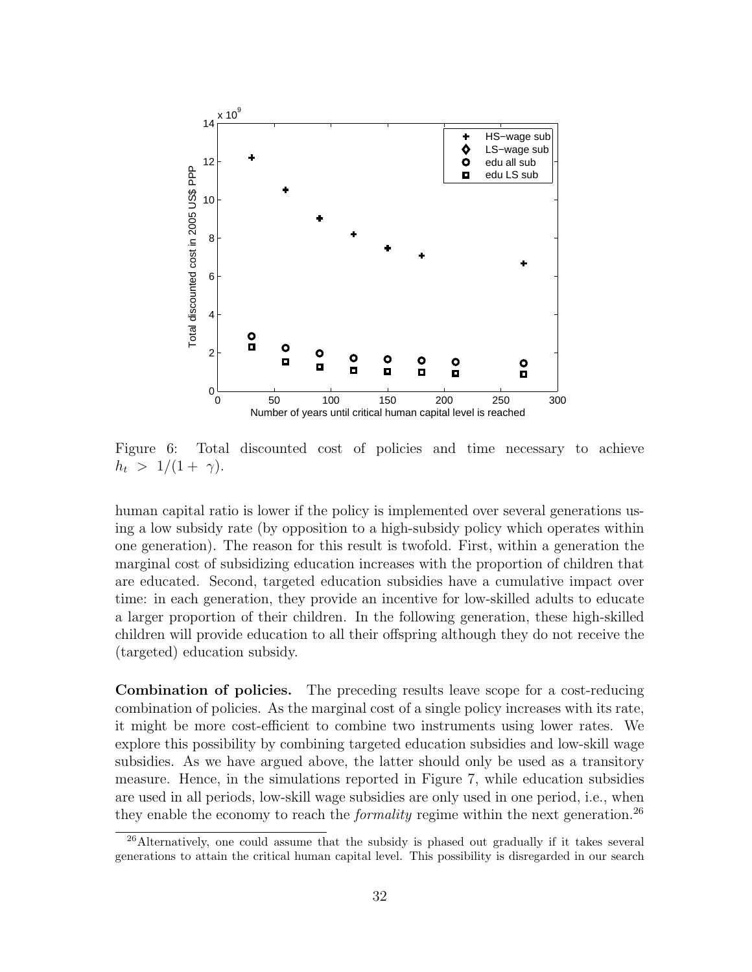

Figure 6: Total discounted cost of policies and time necessary to achieve  $h_t > 1/(1 + \gamma).$ 

human capital ratio is lower if the policy is implemented over several generations using a low subsidy rate (by opposition to a high-subsidy policy which operates within one generation). The reason for this result is twofold. First, within a generation the marginal cost of subsidizing education increases with the proportion of children that are educated. Second, targeted education subsidies have a cumulative impact over time: in each generation, they provide an incentive for low-skilled adults to educate a larger proportion of their children. In the following generation, these high-skilled children will provide education to all their offspring although they do not receive the (targeted) education subsidy.

Combination of policies. The preceding results leave scope for a cost-reducing combination of policies. As the marginal cost of a single policy increases with its rate, it might be more cost-efficient to combine two instruments using lower rates. We explore this possibility by combining targeted education subsidies and low-skill wage subsidies. As we have argued above, the latter should only be used as a transitory measure. Hence, in the simulations reported in Figure 7, while education subsidies are used in all periods, low-skill wage subsidies are only used in one period, i.e., when they enable the economy to reach the *formality* regime within the next generation.<sup>26</sup>

 $^{26}$ Alternatively, one could assume that the subsidy is phased out gradually if it takes several generations to attain the critical human capital level. This possibility is disregarded in our search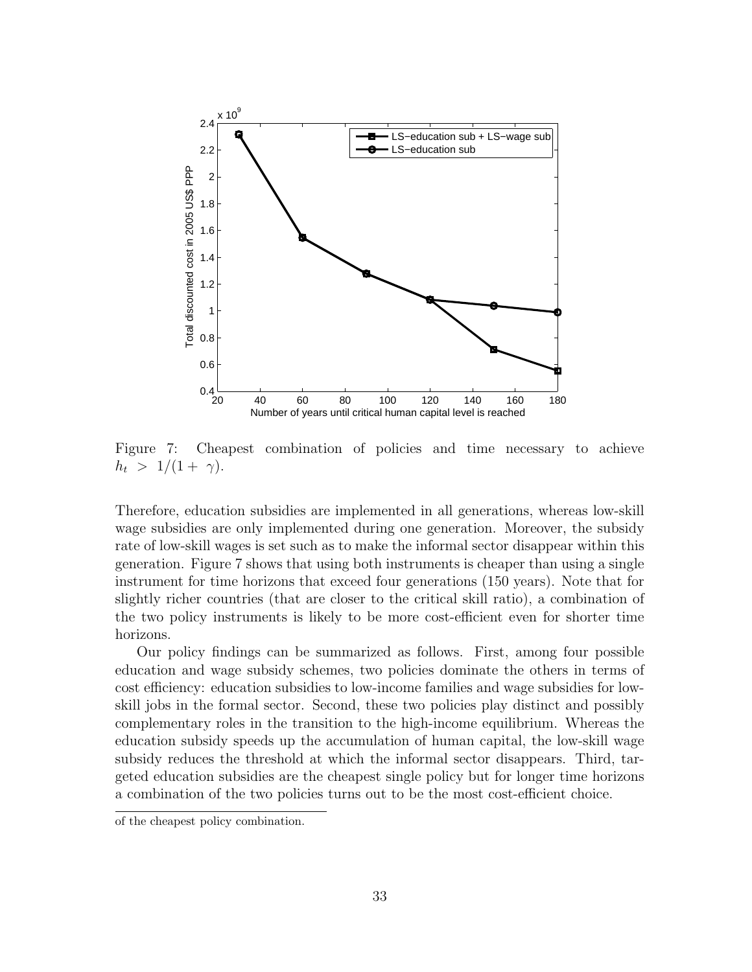

Figure 7: Cheapest combination of policies and time necessary to achieve  $h_t > 1/(1 + \gamma).$ 

Therefore, education subsidies are implemented in all generations, whereas low-skill wage subsidies are only implemented during one generation. Moreover, the subsidy rate of low-skill wages is set such as to make the informal sector disappear within this generation. Figure 7 shows that using both instruments is cheaper than using a single instrument for time horizons that exceed four generations (150 years). Note that for slightly richer countries (that are closer to the critical skill ratio), a combination of the two policy instruments is likely to be more cost-efficient even for shorter time horizons.

Our policy findings can be summarized as follows. First, among four possible education and wage subsidy schemes, two policies dominate the others in terms of cost efficiency: education subsidies to low-income families and wage subsidies for lowskill jobs in the formal sector. Second, these two policies play distinct and possibly complementary roles in the transition to the high-income equilibrium. Whereas the education subsidy speeds up the accumulation of human capital, the low-skill wage subsidy reduces the threshold at which the informal sector disappears. Third, targeted education subsidies are the cheapest single policy but for longer time horizons a combination of the two policies turns out to be the most cost-efficient choice.

of the cheapest policy combination.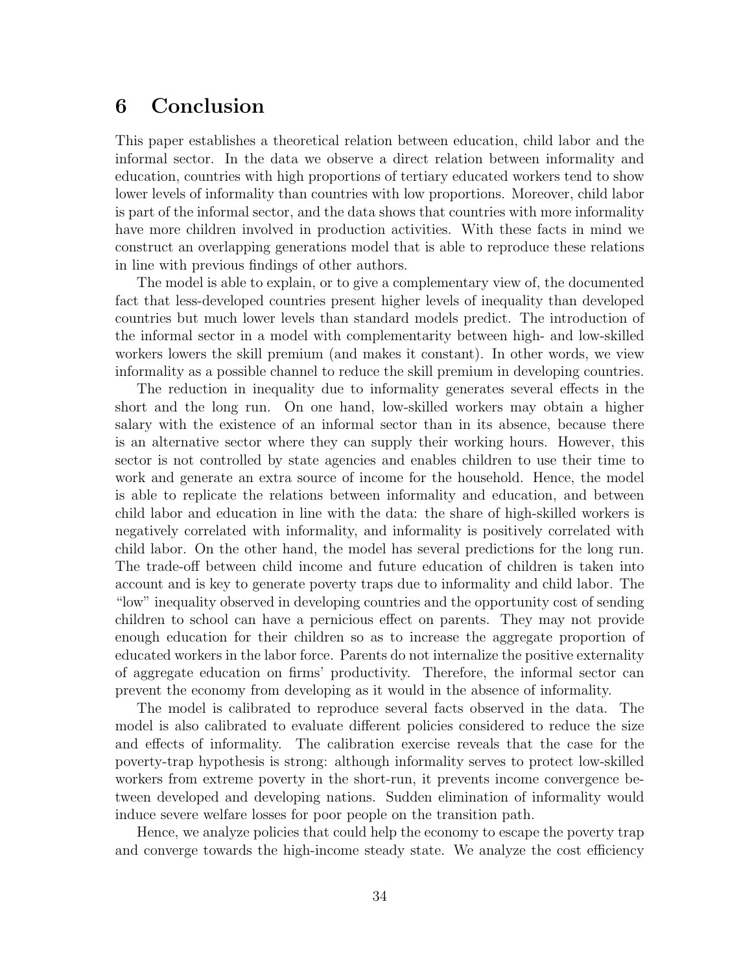### 6 Conclusion

This paper establishes a theoretical relation between education, child labor and the informal sector. In the data we observe a direct relation between informality and education, countries with high proportions of tertiary educated workers tend to show lower levels of informality than countries with low proportions. Moreover, child labor is part of the informal sector, and the data shows that countries with more informality have more children involved in production activities. With these facts in mind we construct an overlapping generations model that is able to reproduce these relations in line with previous findings of other authors.

The model is able to explain, or to give a complementary view of, the documented fact that less-developed countries present higher levels of inequality than developed countries but much lower levels than standard models predict. The introduction of the informal sector in a model with complementarity between high- and low-skilled workers lowers the skill premium (and makes it constant). In other words, we view informality as a possible channel to reduce the skill premium in developing countries.

The reduction in inequality due to informality generates several effects in the short and the long run. On one hand, low-skilled workers may obtain a higher salary with the existence of an informal sector than in its absence, because there is an alternative sector where they can supply their working hours. However, this sector is not controlled by state agencies and enables children to use their time to work and generate an extra source of income for the household. Hence, the model is able to replicate the relations between informality and education, and between child labor and education in line with the data: the share of high-skilled workers is negatively correlated with informality, and informality is positively correlated with child labor. On the other hand, the model has several predictions for the long run. The trade-off between child income and future education of children is taken into account and is key to generate poverty traps due to informality and child labor. The "low" inequality observed in developing countries and the opportunity cost of sending children to school can have a pernicious effect on parents. They may not provide enough education for their children so as to increase the aggregate proportion of educated workers in the labor force. Parents do not internalize the positive externality of aggregate education on firms' productivity. Therefore, the informal sector can prevent the economy from developing as it would in the absence of informality.

The model is calibrated to reproduce several facts observed in the data. The model is also calibrated to evaluate different policies considered to reduce the size and effects of informality. The calibration exercise reveals that the case for the poverty-trap hypothesis is strong: although informality serves to protect low-skilled workers from extreme poverty in the short-run, it prevents income convergence between developed and developing nations. Sudden elimination of informality would induce severe welfare losses for poor people on the transition path.

Hence, we analyze policies that could help the economy to escape the poverty trap and converge towards the high-income steady state. We analyze the cost efficiency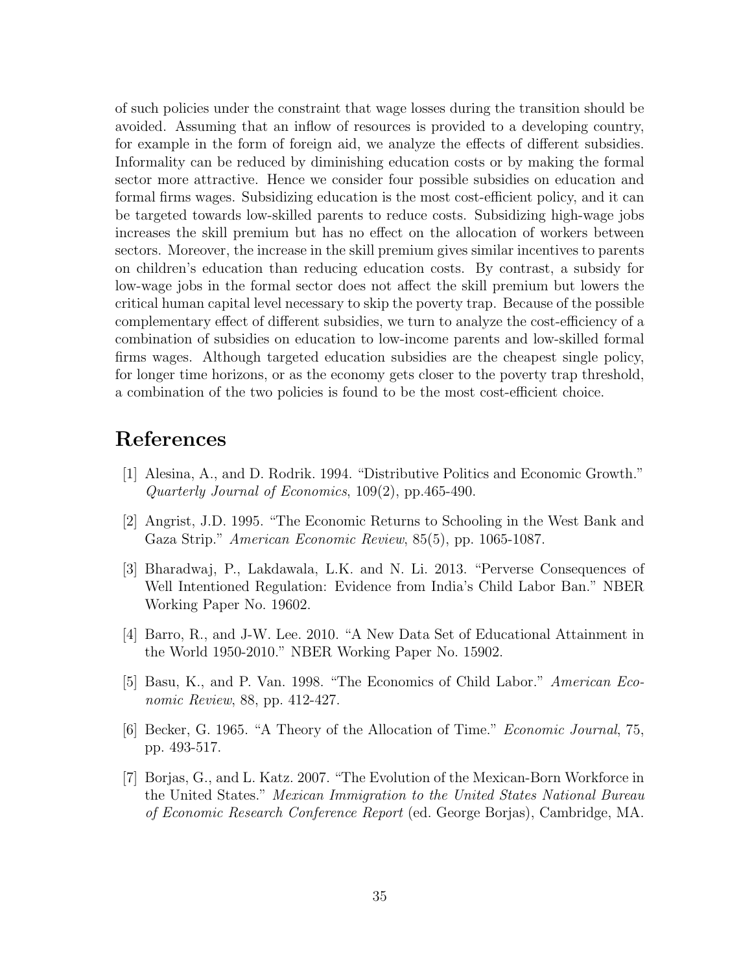of such policies under the constraint that wage losses during the transition should be avoided. Assuming that an inflow of resources is provided to a developing country, for example in the form of foreign aid, we analyze the effects of different subsidies. Informality can be reduced by diminishing education costs or by making the formal sector more attractive. Hence we consider four possible subsidies on education and formal firms wages. Subsidizing education is the most cost-efficient policy, and it can be targeted towards low-skilled parents to reduce costs. Subsidizing high-wage jobs increases the skill premium but has no effect on the allocation of workers between sectors. Moreover, the increase in the skill premium gives similar incentives to parents on children's education than reducing education costs. By contrast, a subsidy for low-wage jobs in the formal sector does not affect the skill premium but lowers the critical human capital level necessary to skip the poverty trap. Because of the possible complementary effect of different subsidies, we turn to analyze the cost-efficiency of a combination of subsidies on education to low-income parents and low-skilled formal firms wages. Although targeted education subsidies are the cheapest single policy, for longer time horizons, or as the economy gets closer to the poverty trap threshold, a combination of the two policies is found to be the most cost-efficient choice.

### References

- [1] Alesina, A., and D. Rodrik. 1994. "Distributive Politics and Economic Growth." Quarterly Journal of Economics, 109(2), pp.465-490.
- [2] Angrist, J.D. 1995. "The Economic Returns to Schooling in the West Bank and Gaza Strip." American Economic Review, 85(5), pp. 1065-1087.
- [3] Bharadwaj, P., Lakdawala, L.K. and N. Li. 2013. "Perverse Consequences of Well Intentioned Regulation: Evidence from India's Child Labor Ban." NBER Working Paper No. 19602.
- [4] Barro, R., and J-W. Lee. 2010. "A New Data Set of Educational Attainment in the World 1950-2010." NBER Working Paper No. 15902.
- [5] Basu, K., and P. Van. 1998. "The Economics of Child Labor." American Economic Review, 88, pp. 412-427.
- [6] Becker, G. 1965. "A Theory of the Allocation of Time." Economic Journal, 75, pp. 493-517.
- [7] Borjas, G., and L. Katz. 2007. "The Evolution of the Mexican-Born Workforce in the United States." Mexican Immigration to the United States National Bureau of Economic Research Conference Report (ed. George Borjas), Cambridge, MA.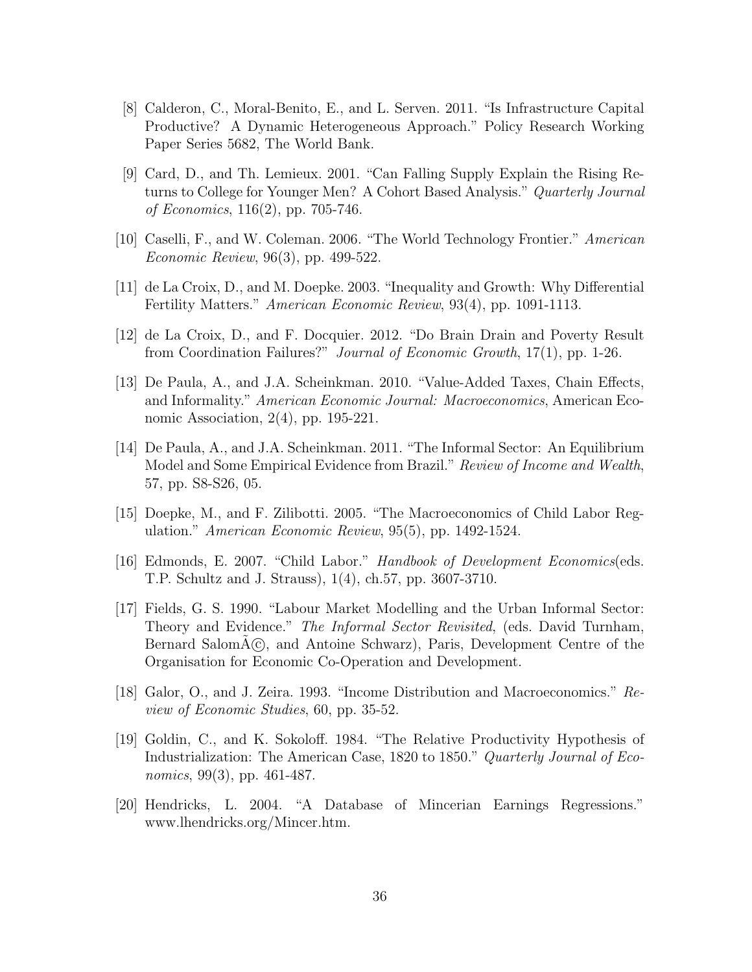- [8] Calderon, C., Moral-Benito, E., and L. Serven. 2011. "Is Infrastructure Capital Productive? A Dynamic Heterogeneous Approach." Policy Research Working Paper Series 5682, The World Bank.
- [9] Card, D., and Th. Lemieux. 2001. "Can Falling Supply Explain the Rising Returns to College for Younger Men? A Cohort Based Analysis." Quarterly Journal of Economics, 116(2), pp. 705-746.
- [10] Caselli, F., and W. Coleman. 2006. "The World Technology Frontier." American Economic Review, 96(3), pp. 499-522.
- [11] de La Croix, D., and M. Doepke. 2003. "Inequality and Growth: Why Differential Fertility Matters." American Economic Review, 93(4), pp. 1091-1113.
- [12] de La Croix, D., and F. Docquier. 2012. "Do Brain Drain and Poverty Result from Coordination Failures?" Journal of Economic Growth, 17(1), pp. 1-26.
- [13] De Paula, A., and J.A. Scheinkman. 2010. "Value-Added Taxes, Chain Effects, and Informality." American Economic Journal: Macroeconomics, American Economic Association, 2(4), pp. 195-221.
- [14] De Paula, A., and J.A. Scheinkman. 2011. "The Informal Sector: An Equilibrium Model and Some Empirical Evidence from Brazil." Review of Income and Wealth, 57, pp. S8-S26, 05.
- [15] Doepke, M., and F. Zilibotti. 2005. "The Macroeconomics of Child Labor Regulation." American Economic Review, 95(5), pp. 1492-1524.
- [16] Edmonds, E. 2007. "Child Labor." Handbook of Development Economics(eds. T.P. Schultz and J. Strauss), 1(4), ch.57, pp. 3607-3710.
- [17] Fields, G. S. 1990. "Labour Market Modelling and the Urban Informal Sector: Theory and Evidence." The Informal Sector Revisited, (eds. David Turnham, Bernard Salom $A(\overline{c})$ , and Antoine Schwarz), Paris, Development Centre of the Organisation for Economic Co-Operation and Development.
- [18] Galor, O., and J. Zeira. 1993. "Income Distribution and Macroeconomics." Review of Economic Studies, 60, pp. 35-52.
- [19] Goldin, C., and K. Sokoloff. 1984. "The Relative Productivity Hypothesis of Industrialization: The American Case, 1820 to 1850." Quarterly Journal of Economics, 99(3), pp. 461-487.
- [20] Hendricks, L. 2004. "A Database of Mincerian Earnings Regressions." www.lhendricks.org/Mincer.htm.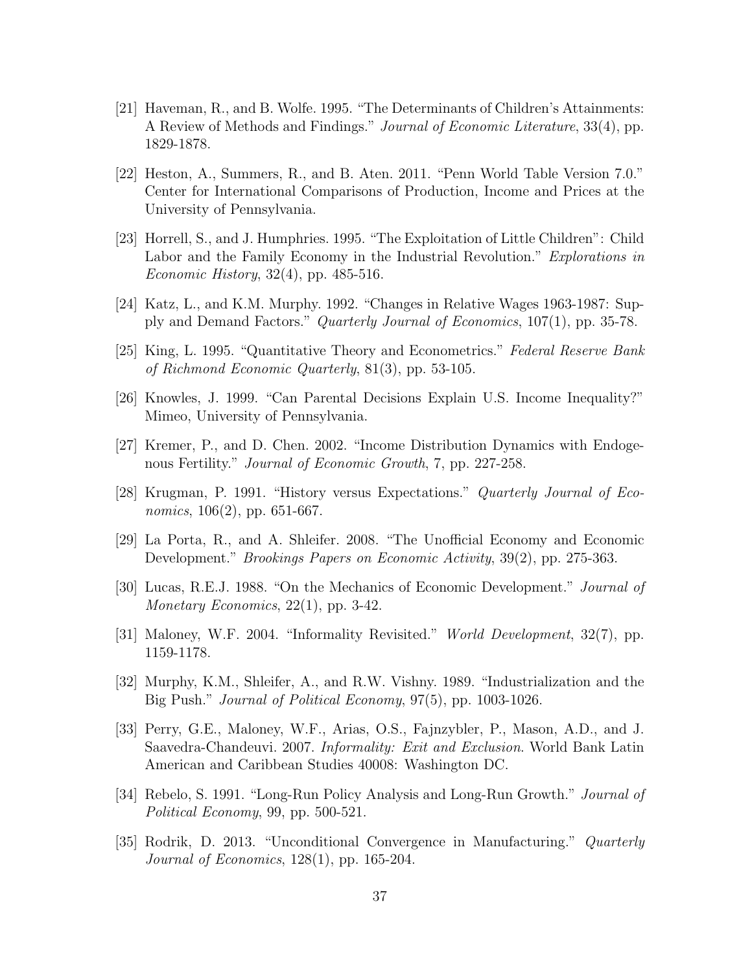- [21] Haveman, R., and B. Wolfe. 1995. "The Determinants of Children's Attainments: A Review of Methods and Findings." Journal of Economic Literature, 33(4), pp. 1829-1878.
- [22] Heston, A., Summers, R., and B. Aten. 2011. "Penn World Table Version 7.0." Center for International Comparisons of Production, Income and Prices at the University of Pennsylvania.
- [23] Horrell, S., and J. Humphries. 1995. "The Exploitation of Little Children": Child Labor and the Family Economy in the Industrial Revolution." Explorations in Economic History,  $32(4)$ , pp.  $485-516$ .
- [24] Katz, L., and K.M. Murphy. 1992. "Changes in Relative Wages 1963-1987: Supply and Demand Factors." Quarterly Journal of Economics, 107(1), pp. 35-78.
- [25] King, L. 1995. "Quantitative Theory and Econometrics." Federal Reserve Bank of Richmond Economic Quarterly, 81(3), pp. 53-105.
- [26] Knowles, J. 1999. "Can Parental Decisions Explain U.S. Income Inequality?" Mimeo, University of Pennsylvania.
- [27] Kremer, P., and D. Chen. 2002. "Income Distribution Dynamics with Endogenous Fertility." *Journal of Economic Growth*, 7, pp. 227-258.
- [28] Krugman, P. 1991. "History versus Expectations." Quarterly Journal of Eco*nomics*,  $106(2)$ , pp. 651-667.
- [29] La Porta, R., and A. Shleifer. 2008. "The Unofficial Economy and Economic Development." Brookings Papers on Economic Activity, 39(2), pp. 275-363.
- [30] Lucas, R.E.J. 1988. "On the Mechanics of Economic Development." Journal of Monetary Economics, 22(1), pp. 3-42.
- [31] Maloney, W.F. 2004. "Informality Revisited." World Development, 32(7), pp. 1159-1178.
- [32] Murphy, K.M., Shleifer, A., and R.W. Vishny. 1989. "Industrialization and the Big Push." Journal of Political Economy, 97(5), pp. 1003-1026.
- [33] Perry, G.E., Maloney, W.F., Arias, O.S., Fajnzybler, P., Mason, A.D., and J. Saavedra-Chandeuvi. 2007. Informality: Exit and Exclusion. World Bank Latin American and Caribbean Studies 40008: Washington DC.
- [34] Rebelo, S. 1991. "Long-Run Policy Analysis and Long-Run Growth." Journal of Political Economy, 99, pp. 500-521.
- [35] Rodrik, D. 2013. "Unconditional Convergence in Manufacturing." Quarterly Journal of Economics, 128(1), pp. 165-204.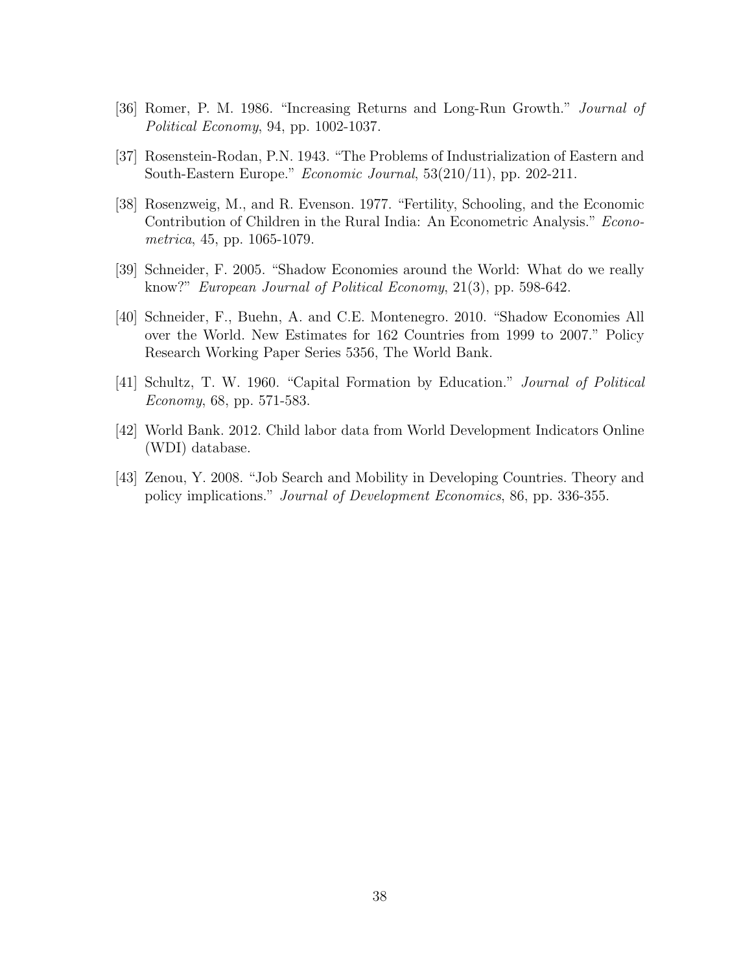- [36] Romer, P. M. 1986. "Increasing Returns and Long-Run Growth." Journal of Political Economy, 94, pp. 1002-1037.
- [37] Rosenstein-Rodan, P.N. 1943. "The Problems of Industrialization of Eastern and South-Eastern Europe." Economic Journal, 53(210/11), pp. 202-211.
- [38] Rosenzweig, M., and R. Evenson. 1977. "Fertility, Schooling, and the Economic Contribution of Children in the Rural India: An Econometric Analysis." Econometrica, 45, pp. 1065-1079.
- [39] Schneider, F. 2005. "Shadow Economies around the World: What do we really know?" European Journal of Political Economy, 21(3), pp. 598-642.
- [40] Schneider, F., Buehn, A. and C.E. Montenegro. 2010. "Shadow Economies All over the World. New Estimates for 162 Countries from 1999 to 2007." Policy Research Working Paper Series 5356, The World Bank.
- [41] Schultz, T. W. 1960. "Capital Formation by Education." Journal of Political Economy, 68, pp. 571-583.
- [42] World Bank. 2012. Child labor data from World Development Indicators Online (WDI) database.
- [43] Zenou, Y. 2008. "Job Search and Mobility in Developing Countries. Theory and policy implications." Journal of Development Economics, 86, pp. 336-355.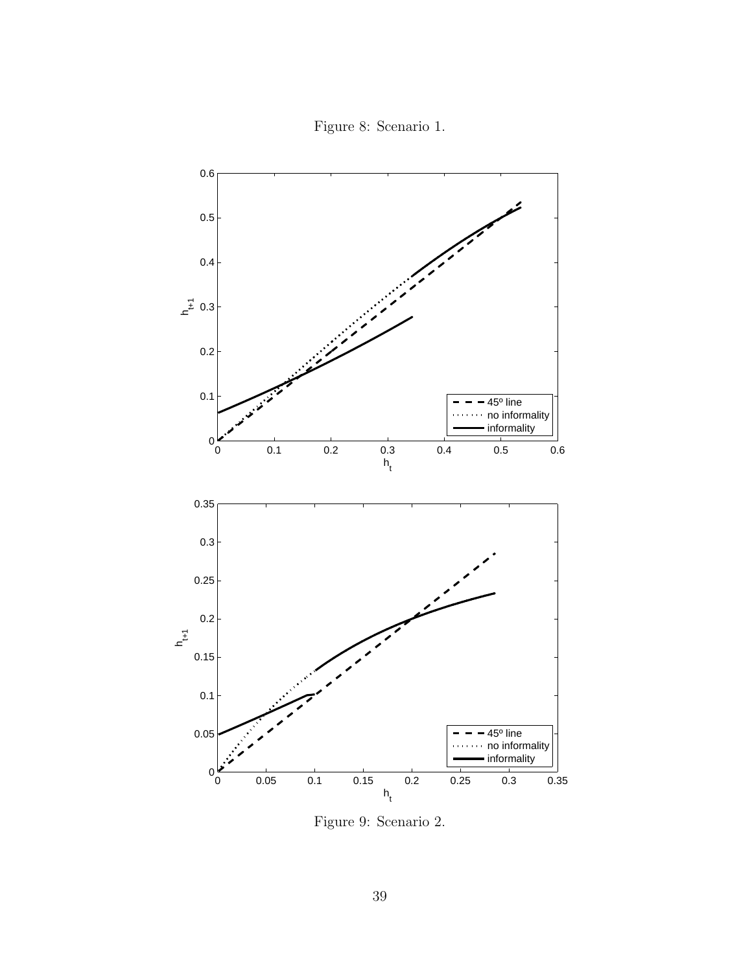



Figure 9: Scenario 2.